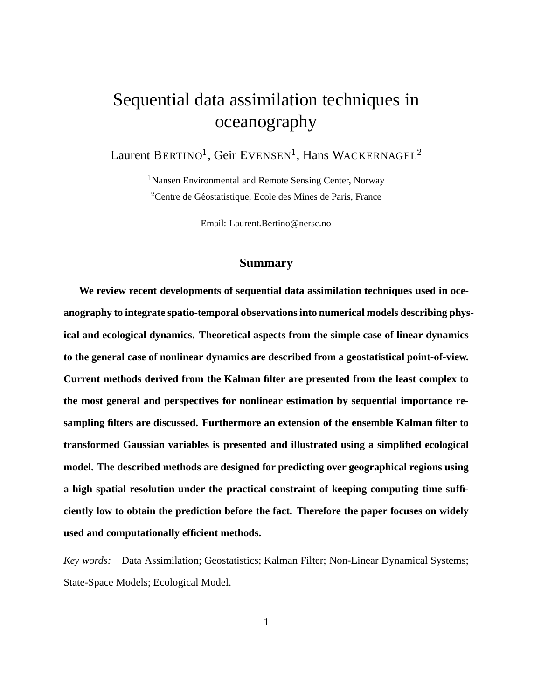# Sequential data assimilation techniques in oceanography

Laurent BERTINO<sup>1</sup>, Geir EVENSEN<sup>1</sup>, Hans WACKERNAGEL<sup>2</sup>

<sup>1</sup> Nansen Environmental and Remote Sensing Center, Norway  $2^2$ Centre de Géostatistique, Ecole des Mines de Paris, France

Email: Laurent.Bertino@nersc.no

#### **Summary**

**We review recent developments of sequential data assimilation techniques used in oceanography to integrate spatio-temporal observationsinto numerical models describing physical and ecological dynamics. Theoretical aspects from the simple case of linear dynamics to the general case of nonlinear dynamics are described from a geostatistical point-of-view. Current methods derived from the Kalman filter are presented from the least complex to the most general and perspectives for nonlinear estimation by sequential importance resampling filters are discussed. Furthermore an extension of the ensemble Kalman filter to transformed Gaussian variables is presented and illustrated using a simplified ecological model. The described methods are designed for predicting over geographical regions using a high spatial resolution under the practical constraint of keeping computing time sufficiently low to obtain the prediction before the fact. Therefore the paper focuses on widely used and computationally efficient methods.**

*Key words:* Data Assimilation; Geostatistics; Kalman Filter; Non-Linear Dynamical Systems; State-Space Models; Ecological Model.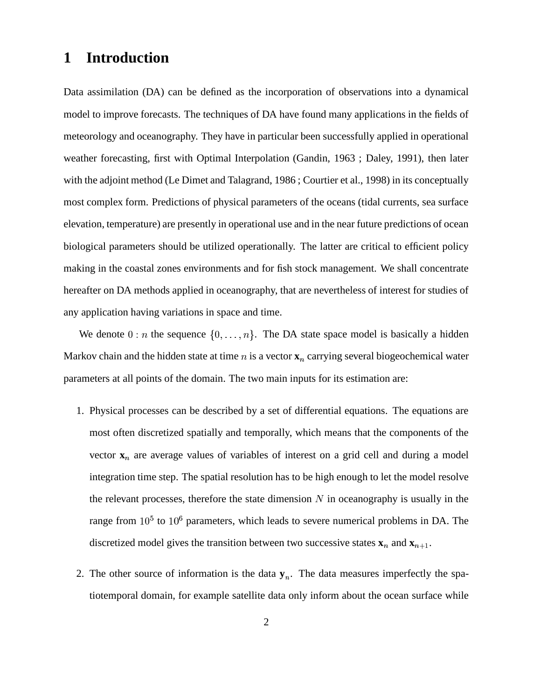# **1 Introduction**

Data assimilation (DA) can be defined as the incorporation of observations into a dynamical model to improve forecasts. The techniques of DA have found many applications in the fields of meteorology and oceanography. They have in particular been successfully applied in operational weather forecasting, first with Optimal Interpolation (Gandin, 1963 ; Daley, 1991), then later with the adjoint method (Le Dimet and Talagrand, 1986 ; Courtier et al., 1998) in its conceptually most complex form. Predictions of physical parameters of the oceans (tidal currents, sea surface elevation, temperature) are presently in operational use and in the near future predictions of ocean biological parameters should be utilized operationally. The latter are critical to efficient policy making in the coastal zones environments and for fish stock management. We shall concentrate hereafter on DA methods applied in oceanography, that are nevertheless of interest for studies of any application having variations in space and time.

We denote  $0:n$  the sequence  $\{0,\ldots,n\}$ . The DA state space model is basically a hidden Markov chain and the hidden state at time  $n$  is a vector  $\mathbf{x}_n$  carrying several biogeochemical water parameters at all points of the domain. The two main inputs for its estimation are:

- 1. Physical processes can be described by a set of differential equations. The equations are most often discretized spatially and temporally, which means that the components of the vector  $x_n$  are average values of variables of interest on a grid cell and during a model integration time step. The spatial resolution has to be high enough to let the model resolve the relevant processes, therefore the state dimension  $N$  in oceanography is usually in the range from  $10^5$  to  $10^6$  parameters, which leads to severe numerical problems in DA. The discretized model gives the transition between two successive states  $\mathbf{x}_n$  and  $\mathbf{x}_{n+1}$ .
- 2. The other source of information is the data  $y_n$ . The data measures imperfectly the spatiotemporal domain, for example satellite data only inform about the ocean surface while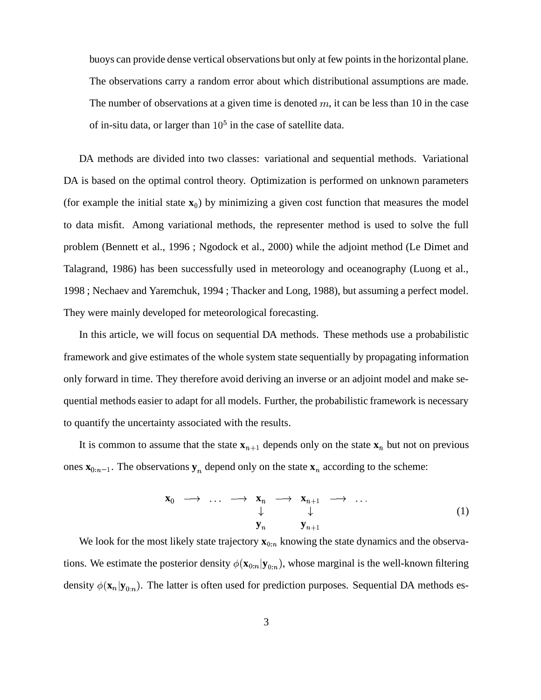buoys can provide dense vertical observations but only at few pointsin the horizontal plane. The observations carry a random error about which distributional assumptions are made. The number of observations at a given time is denoted  $m$ , it can be less than 10 in the case of in-situ data, or larger than  $10<sup>5</sup>$  in the case of satellite data.

DA methods are divided into two classes: variational and sequential methods. Variational DA is based on the optimal control theory. Optimization is performed on unknown parameters (for example the initial state  $\mathbf{x}_0$ ) by minimizing a given cost function that measures the model to data misfit. Among variational methods, the representer method is used to solve the full problem (Bennett et al., 1996 ; Ngodock et al., 2000) while the adjoint method (Le Dimet and Talagrand, 1986) has been successfully used in meteorology and oceanography (Luong et al., 1998 ; Nechaev and Yaremchuk, 1994 ; Thacker and Long, 1988), but assuming a perfect model. They were mainly developed for meteorological forecasting.

In this article, we will focus on sequential DA methods. These methods use a probabilistic framework and give estimates of the whole system state sequentially by propagating information only forward in time. They therefore avoid deriving an inverse or an adjoint model and make sequential methods easier to adapt for all models. Further, the probabilistic framework is necessary to quantify the uncertainty associated with the results.

It is common to assume that the state  $\mathbf{x}_{n+1}$  depends only on the state  $\mathbf{x}_n$  but not on previous ones  $\mathbf{x}_{0:n-1}$ . The observations  $\mathbf{y}_n$  depend only on the state  $\mathbf{x}_n$  according to the scheme:

$$
\begin{array}{ccccccc}\n\mathbf{x}_0 & \longrightarrow & \dots & \longrightarrow & \mathbf{x}_n & \longrightarrow & \mathbf{x}_{n+1} & \longrightarrow & \dots \\
& & \downarrow & & \downarrow & & & \\
& & \mathbf{y}_n & & \mathbf{y}_{n+1} & & & \\
\end{array}
$$
\n(1)

We look for the most likely state trajectory  $\mathbf{x}_{0:n}$  knowing the state dynamics and the observations. We estimate the posterior density  $\phi(\mathbf{x}_{0:n}|\mathbf{y}_{0:n})$ , whose marginal is the well-known filtering density  $\phi(\mathbf{x}_n|\mathbf{y}_{0:n})$ . The latter is often used for prediction purposes. Sequential DA methods es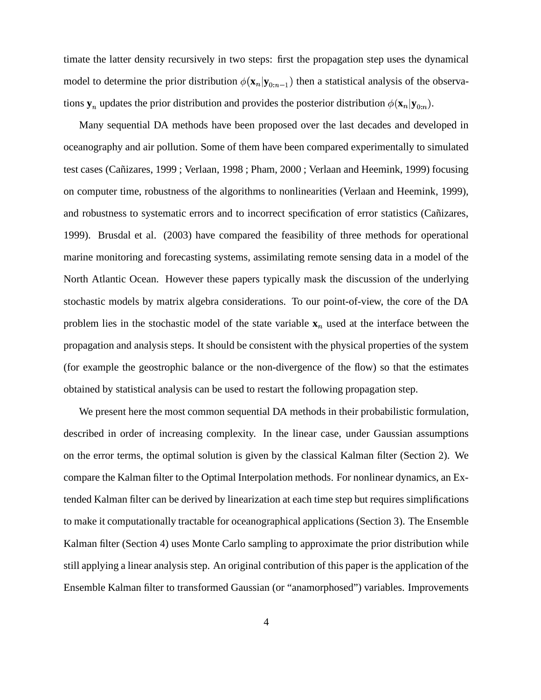timate the latter density recursively in two steps: first the propagation step uses the dynamical model to determine the prior distribution  $\phi(\mathbf{x}_n | \mathbf{y}_{0:n-1})$  then a statistical analysis of the observations  $y_n$  updates the prior distribution and provides the posterior distribution  $\phi(\mathbf{x}_n|\mathbf{y}_{0:n})$ .

Many sequential DA methods have been proposed over the last decades and developed in oceanography and air pollution. Some of them have been compared experimentally to simulated test cases (Cañizares, 1999; Verlaan, 1998; Pham, 2000; Verlaan and Heemink, 1999) focusing on computer time, robustness of the algorithms to nonlinearities (Verlaan and Heemink, 1999), and robustness to systematic errors and to incorrect specification of error statistics (Cañizares, 1999). Brusdal et al. (2003) have compared the feasibility of three methods for operational marine monitoring and forecasting systems, assimilating remote sensing data in a model of the North Atlantic Ocean. However these papers typically mask the discussion of the underlying stochastic models by matrix algebra considerations. To our point-of-view, the core of the DA problem lies in the stochastic model of the state variable  $x_n$  used at the interface between the propagation and analysis steps. It should be consistent with the physical properties of the system (for example the geostrophic balance or the non-divergence of the flow) so that the estimates obtained by statistical analysis can be used to restart the following propagation step.

We present here the most common sequential DA methods in their probabilistic formulation, described in order of increasing complexity. In the linear case, under Gaussian assumptions on the error terms, the optimal solution is given by the classical Kalman filter (Section 2). We compare the Kalman filter to the Optimal Interpolation methods. For nonlinear dynamics, an Extended Kalman filter can be derived by linearization at each time step but requires simplifications to make it computationally tractable for oceanographical applications (Section 3). The Ensemble Kalman filter (Section 4) uses Monte Carlo sampling to approximate the prior distribution while still applying a linear analysis step. An original contribution of this paper is the application of the Ensemble Kalman filter to transformed Gaussian (or "anamorphosed") variables. Improvements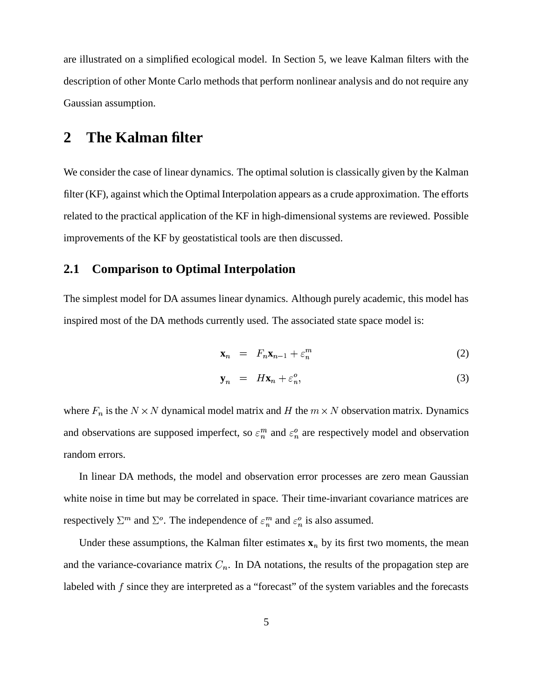are illustrated on a simplified ecological model. In Section 5, we leave Kalman filters with the description of other Monte Carlo methods that perform nonlinear analysis and do not require any Gaussian assumption.

# **2 The Kalman filter**

We consider the case of linear dynamics. The optimal solution is classically given by the Kalman filter (KF), against which the Optimal Interpolation appears as a crude approximation. The efforts related to the practical application of the KF in high-dimensional systems are reviewed. Possible improvements of the KF by geostatistical tools are then discussed.

### **2.1 Comparison to Optimal Interpolation**

The simplest model for DA assumes linear dynamics. Although purely academic, this model has inspired most of the DA methods currently used. The associated state space model is:

$$
\mathbf{x}_n = F_n \mathbf{x}_{n-1} + \varepsilon_n^m \tag{2}
$$

$$
\mathbf{y}_n = H\mathbf{x}_n + \varepsilon_n^o,\tag{3}
$$

where  $F_n$  is the  $N \times N$  dynamical model matrix and H the  $m \times N$  observation matrix. Dynamics and observations are supposed imperfect, so  $\varepsilon_n^m$  and  $\varepsilon_n^o$  are respectively model and observation random errors.

In linear DA methods, the model and observation error processes are zero mean Gaussian white noise in time but may be correlated in space. Their time-invariant covariance matrices are respectively  $\Sigma^m$  and  $\Sigma^o$ . The independence of  $\varepsilon_n^m$  and  $\varepsilon_n^o$  is also assumed.

Under these assumptions, the Kalman filter estimates  $x_n$  by its first two moments, the mean and the variance-covariance matrix  $C_n$ . In DA notations, the results of the propagation step are labeled with  $f$  since they are interpreted as a "forecast" of the system variables and the forecasts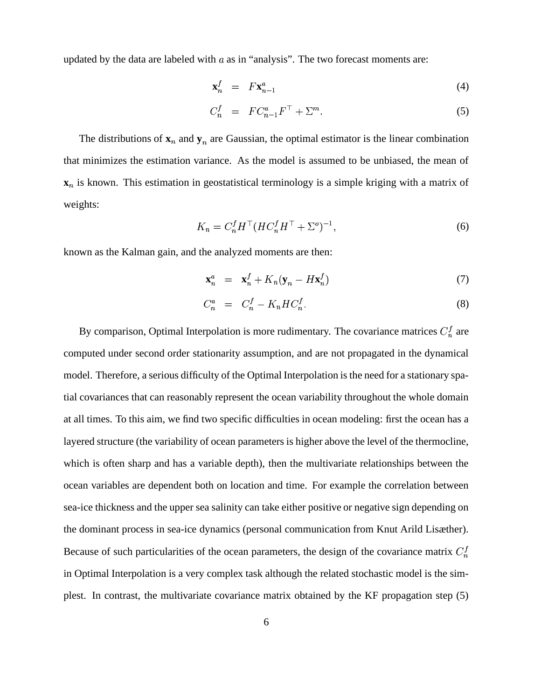updated by the data are labeled with  $a$  as in "analysis". The two forecast moments are:

$$
\mathbf{x}_n^f = F \mathbf{x}_{n-1}^a \tag{4}
$$

$$
C_n^f = FC_{n-1}^a F^\top + \Sigma^m. \tag{5}
$$

The distributions of  $\mathbf{x}_n$  and  $\mathbf{y}_n$  are Gaussian, the optimal estimator is the linear combination that minimizes the estimation variance. As the model is assumed to be unbiased, the mean of **x**<sub>n</sub> is known. This estimation in geostatistical terminology is a simple kriging with a matrix of weights:

$$
K_n = C_n^f H^\top (HC_n^f H^\top + \Sigma^o)^{-1},\tag{6}
$$

known as the Kalman gain, and the analyzed moments are then:

$$
\mathbf{x}_n^a = \mathbf{x}_n^f + K_n(\mathbf{y}_n - H\mathbf{x}_n^f) \tag{7}
$$

$$
C_n^a = C_n^f - K_n H C_n^f. \tag{8}
$$

By comparison, Optimal Interpolation is more rudimentary. The covariance matrices  $C_n^f$  are computed under second order stationarity assumption, and are not propagated in the dynamical model. Therefore, a serious difficulty of the Optimal Interpolation is the need for a stationary spatial covariances that can reasonably represent the ocean variability throughout the whole domain at all times. To this aim, we find two specific difficulties in ocean modeling: first the ocean has a layered structure (the variability of ocean parameters is higher above the level of the thermocline, which is often sharp and has a variable depth), then the multivariate relationships between the ocean variables are dependent both on location and time. For example the correlation between sea-ice thickness and the upper sea salinity can take either positive or negative sign depending on the dominant process in sea-ice dynamics (personal communication from Knut Arild Lisæther). Because of such particularities of the ocean parameters, the design of the covariance matrix  $C_n^f$ in Optimal Interpolation is a very complex task although the related stochastic model is the simplest. In contrast, the multivariate covariance matrix obtained by the KF propagation step (5)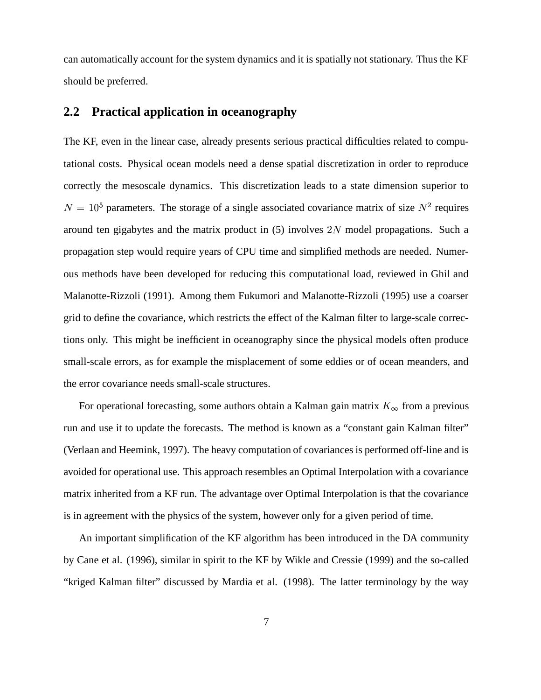can automatically account for the system dynamics and it is spatially not stationary. Thus the KF should be preferred.

### **2.2 Practical application in oceanography**

The KF, even in the linear case, already presents serious practical difficulties related to computational costs. Physical ocean models need a dense spatial discretization in order to reproduce correctly the mesoscale dynamics. This discretization leads to a state dimension superior to  $N = 10<sup>5</sup>$  parameters. The storage of a single associated covariance matrix of size  $N<sup>2</sup>$  requires around ten gigabytes and the matrix product in  $(5)$  involves  $2N$  model propagations. Such a propagation step would require years of CPU time and simplified methods are needed. Numerous methods have been developed for reducing this computational load, reviewed in Ghil and Malanotte-Rizzoli (1991). Among them Fukumori and Malanotte-Rizzoli (1995) use a coarser grid to define the covariance, which restricts the effect of the Kalman filter to large-scale corrections only. This might be inefficient in oceanography since the physical models often produce small-scale errors, as for example the misplacement of some eddies or of ocean meanders, and the error covariance needs small-scale structures.

For operational forecasting, some authors obtain a Kalman gain matrix  $K_{\infty}$  from a previous run and use it to update the forecasts. The method is known as a "constant gain Kalman filter" (Verlaan and Heemink, 1997). The heavy computation of covariancesis performed off-line and is avoided for operational use. This approach resembles an Optimal Interpolation with a covariance matrix inherited from a KF run. The advantage over Optimal Interpolation is that the covariance is in agreement with the physics of the system, however only for a given period of time.

An important simplification of the KF algorithm has been introduced in the DA community by Cane et al. (1996), similar in spirit to the KF by Wikle and Cressie (1999) and the so-called "kriged Kalman filter" discussed by Mardia et al. (1998). The latter terminology by the way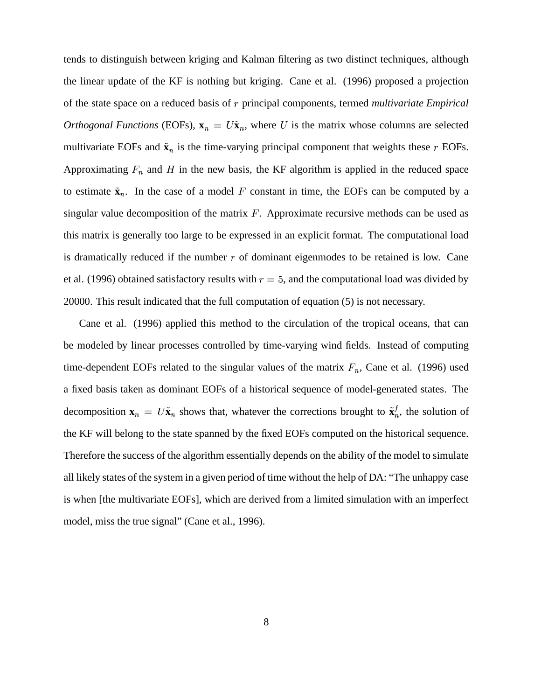tends to distinguish between kriging and Kalman filtering as two distinct techniques, although the linear update of the KF is nothing but kriging. Cane et al. (1996) proposed a projection of the state space on a reduced basis of principal components, termed *multivariate Empirical Orthogonal Functions* (EOFs),  $\mathbf{x}_n = U\tilde{\mathbf{x}}_n$ , where U is the matrix whose columns are selected multivariate EOFs and  $\tilde{\mathbf{x}}_n$  is the time-varying principal component that weights these  $r$  EOFs. Approximating  $F_n$  and H in the new basis, the KF algorithm is applied in the reduced space to estimate  $\tilde{\mathbf{x}}_n$ . In the case of a model F constant in time, the EOFs can be computed by a singular value decomposition of the matrix  $F$ . Approximate recursive methods can be used as this matrix is generally too large to be expressed in an explicit format. The computational load is dramatically reduced if the number  $r$  of dominant eigenmodes to be retained is low. Cane et al. (1996) obtained satisfactory results with  $r = 5$ , and the computational load was divided by 20000. This result indicated that the full computation of equation (5) is not necessary.

Cane et al. (1996) applied this method to the circulation of the tropical oceans, that can be modeled by linear processes controlled by time-varying wind fields. Instead of computing time-dependent EOFs related to the singular values of the matrix  $F_n$ , Cane et al. (1996) used a fixed basis taken as dominant EOFs of a historical sequence of model-generated states. The decomposition  $\mathbf{x}_n = U\tilde{\mathbf{x}}_n$  shows that, whatever the corrections brought to  $\tilde{\mathbf{x}}_n^f$ , the solution of the KF will belong to the state spanned by the fixed EOFs computed on the historical sequence. Therefore the success of the algorithm essentially depends on the ability of the model to simulate all likely states of the system in a given period of time without the help of DA: "The unhappy case is when [the multivariate EOFs], which are derived from a limited simulation with an imperfect model, miss the true signal" (Cane et al., 1996).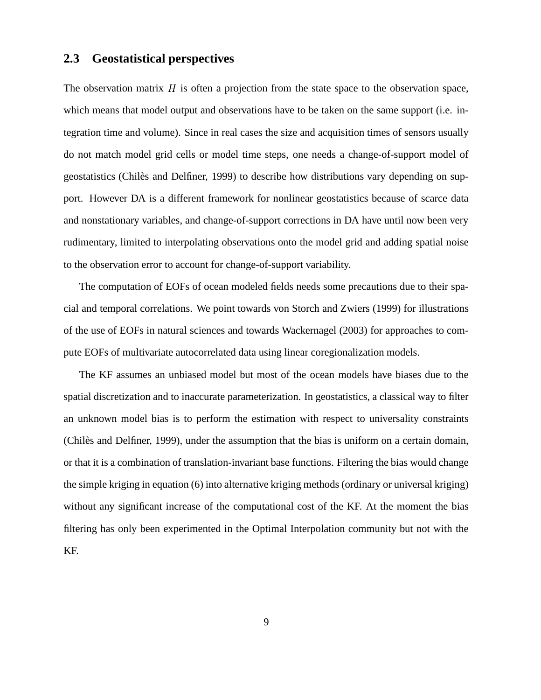### **2.3 Geostatistical perspectives**

The observation matrix  $H$  is often a projection from the state space to the observation space, which means that model output and observations have to be taken on the same support (i.e. integration time and volume). Since in real cases the size and acquisition times of sensors usually do not match model grid cells or model time steps, one needs a change-of-support model of geostatistics (Chiles` and Delfiner, 1999) to describe how distributions vary depending on support. However DA is a different framework for nonlinear geostatistics because of scarce data and nonstationary variables, and change-of-support corrections in DA have until now been very rudimentary, limited to interpolating observations onto the model grid and adding spatial noise to the observation error to account for change-of-support variability.

The computation of EOFs of ocean modeled fields needs some precautions due to their spacial and temporal correlations. We point towards von Storch and Zwiers (1999) for illustrations of the use of EOFs in natural sciences and towards Wackernagel (2003) for approaches to compute EOFs of multivariate autocorrelated data using linear coregionalization models.

The KF assumes an unbiased model but most of the ocean models have biases due to the spatial discretization and to inaccurate parameterization. In geostatistics, a classical way to filter an unknown model bias is to perform the estimation with respect to universality constraints (Chiles` and Delfiner, 1999), under the assumption that the bias is uniform on a certain domain, or that it is a combination of translation-invariant base functions. Filtering the bias would change the simple kriging in equation (6) into alternative kriging methods (ordinary or universal kriging) without any significant increase of the computational cost of the KF. At the moment the bias filtering has only been experimented in the Optimal Interpolation community but not with the KF.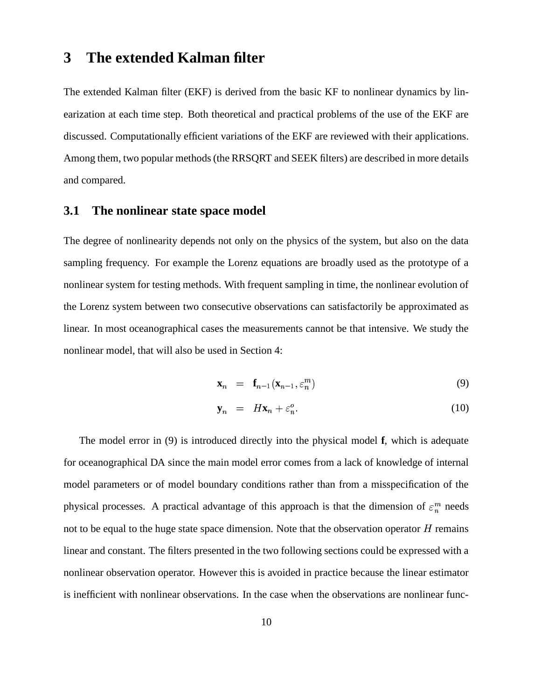# **3 The extended Kalman filter**

The extended Kalman filter (EKF) is derived from the basic KF to nonlinear dynamics by linearization at each time step. Both theoretical and practical problems of the use of the EKF are discussed. Computationally efficient variations of the EKF are reviewed with their applications. Among them, two popular methods(the RRSQRT and SEEK filters) are described in more details and compared.

#### **3.1 The nonlinear state space model**

The degree of nonlinearity depends not only on the physics of the system, but also on the data sampling frequency. For example the Lorenz equations are broadly used as the prototype of a nonlinear system for testing methods. With frequent sampling in time, the nonlinear evolution of the Lorenz system between two consecutive observations can satisfactorily be approximated as linear. In most oceanographical cases the measurements cannot be that intensive. We study the nonlinear model, that will also be used in Section 4:

$$
\mathbf{x}_n = \mathbf{f}_{n-1}(\mathbf{x}_{n-1}, \varepsilon_n^m) \tag{9}
$$

$$
\mathbf{y}_n = H\mathbf{x}_n + \varepsilon_n^o. \tag{10}
$$

The model error in (9) is introduced directly into the physical model **f**, which is adequate for oceanographical DA since the main model error comes from a lack of knowledge of internal model parameters or of model boundary conditions rather than from a misspecification of the physical processes. A practical advantage of this approach is that the dimension of  $\varepsilon_n^m$  needs not to be equal to the huge state space dimension. Note that the observation operator  $H$  remains linear and constant. The filters presented in the two following sections could be expressed with a nonlinear observation operator. However this is avoided in practice because the linear estimator is inefficient with nonlinear observations. In the case when the observations are nonlinear func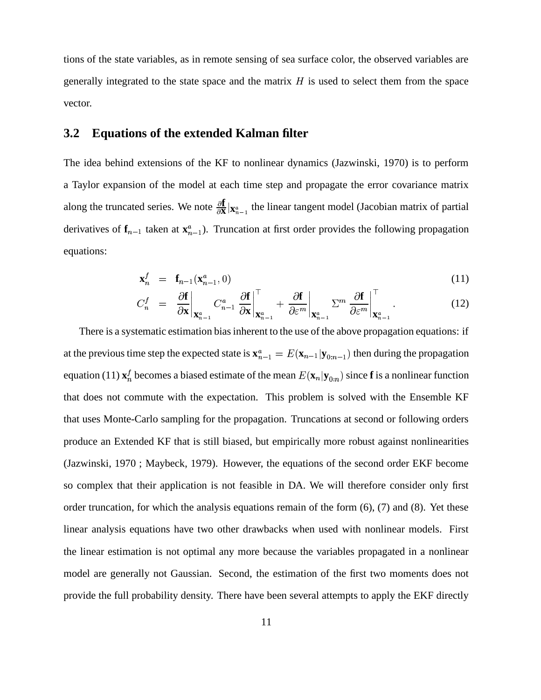tions of the state variables, as in remote sensing of sea surface color, the observed variables are generally integrated to the state space and the matrix  $H$  is used to select them from the space vector.

#### **3.2 Equations of the extended Kalman filter**

The idea behind extensions of the KF to nonlinear dynamics (Jazwinski, 1970) is to perform a Taylor expansion of the model at each time step and propagate the error covariance matrix along the truncated series. We note  $\frac{\partial \mathbf{f}}{\partial \mathbf{x}}|_{\mathbf{X}_{\infty}^{\alpha}}$ , then  $\frac{d\mathbf{I}}{\mathbf{X}}|_{\mathbf{X}_{n-1}^a}$  the linear tangent model (Jacobian matrix of partial derivatives of  $f_{n-1}$  taken at  $\mathbf{x}_{n-1}^a$ ). Truncation at first order provides the following propagation equations:

$$
\mathbf{x}_n^f = \mathbf{f}_{n-1}(\mathbf{x}_{n-1}^a, 0) \tag{11}
$$

$$
C_n^f = \left. \frac{\partial \mathbf{f}}{\partial \mathbf{x}} \right|_{\mathbf{X}_{n-1}^a} C_{n-1}^a \left. \frac{\partial \mathbf{f}}{\partial \mathbf{x}} \right|_{\mathbf{X}_{n-1}^a} + \left. \frac{\partial \mathbf{f}}{\partial \varepsilon^m} \right|_{\mathbf{X}_{n-1}^a} \Sigma^m \left. \frac{\partial \mathbf{f}}{\partial \varepsilon^m} \right|_{\mathbf{X}_{n-1}^a}.
$$
 (12)

There is a systematic estimation biasinherent to the use of the above propagation equations: if at the previous time step the expected state is  $\mathbf{x}_{n-1}^a = E(\mathbf{x}_{n-1}|\mathbf{y}_{0:n-1})$  then during the propagation equation (11)  $\mathbf{x}_n^f$  becomes a biased estimate of the mean  $E(\mathbf{x}_n|\mathbf{y}_{0:n})$  since **f** is a nonlinear function that does not commute with the expectation. This problem is solved with the Ensemble KF that uses Monte-Carlo sampling for the propagation. Truncations at second or following orders produce an Extended KF that is still biased, but empirically more robust against nonlinearities (Jazwinski, 1970 ; Maybeck, 1979). However, the equations of the second order EKF become so complex that their application is not feasible in DA. We will therefore consider only first order truncation, for which the analysis equations remain of the form  $(6)$ ,  $(7)$  and  $(8)$ . Yet these linear analysis equations have two other drawbacks when used with nonlinear models. First the linear estimation is not optimal any more because the variables propagated in a nonlinear model are generally not Gaussian. Second, the estimation of the first two moments does not provide the full probability density. There have been several attempts to apply the EKF directly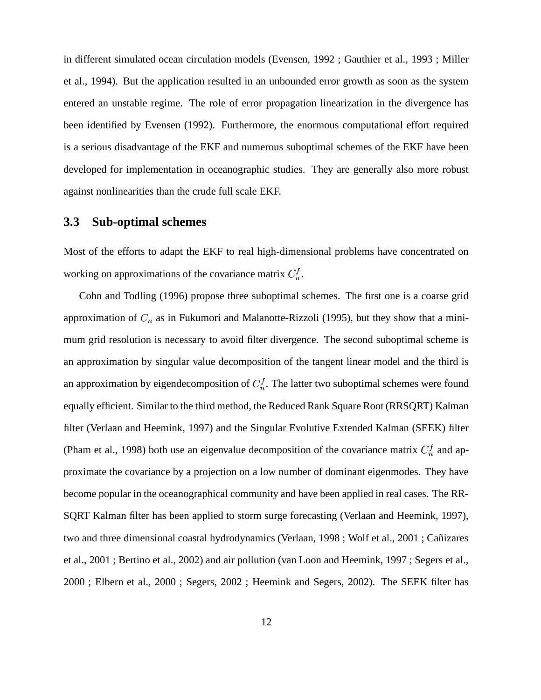in different simulated ocean circulation models (Evensen, 1992 ; Gauthier et al., 1993 ; Miller et al., 1994). But the application resulted in an unbounded error growth as soon as the system entered an unstable regime. The role of error propagation linearization in the divergence has been identified by Evensen (1992). Furthermore, the enormous computational effort required is a serious disadvantage of the EKF and numerous suboptimal schemes of the EKF have been developed for implementation in oceanographic studies. They are generally also more robust against nonlinearities than the crude full scale EKF.

#### **3.3 Sub-optimal schemes**

Most of the efforts to adapt the EKF to real high-dimensional problems have concentrated on working on approximations of the covariance matrix  $C_n^f$ .

Cohn and Todling (1996) propose three suboptimal schemes. The first one is a coarse grid approximation of  $C_n$  as in Fukumori and Malanotte-Rizzoli (1995), but they show that a minimum grid resolution is necessary to avoid filter divergence. The second suboptimal scheme is an approximation by singular value decomposition of the tangent linear model and the third is an approximation by eigendecomposition of  $C_n^f$ . The latter two suboptimal schemes were found equally efficient. Similar to the third method, the Reduced Rank Square Root (RRSQRT) Kalman filter (Verlaan and Heemink, 1997) and the Singular Evolutive Extended Kalman (SEEK) filter (Pham et al., 1998) both use an eigenvalue decomposition of the covariance matrix  $C_n^f$  and approximate the covariance by a projection on a low number of dominant eigenmodes. They have become popular in the oceanographical community and have been applied in real cases. The RR-SQRT Kalman filter has been applied to storm surge forecasting (Verlaan and Heemink, 1997), two and three dimensional coastal hydrodynamics (Verlaan, 1998 ; Wolf et al., 2001 ; Cañizares et al., 2001 ; Bertino et al., 2002) and air pollution (van Loon and Heemink, 1997 ; Segers et al., 2000 ; Elbern et al., 2000 ; Segers, 2002 ; Heemink and Segers, 2002). The SEEK filter has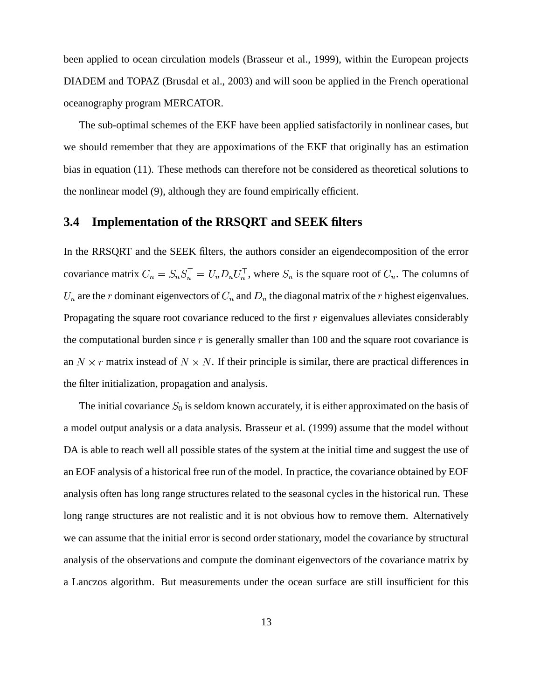been applied to ocean circulation models (Brasseur et al., 1999), within the European projects DIADEM and TOPAZ (Brusdal et al., 2003) and will soon be applied in the French operational oceanography program MERCATOR.

The sub-optimal schemes of the EKF have been applied satisfactorily in nonlinear cases, but we should remember that they are appoximations of the EKF that originally has an estimation bias in equation (11). These methods can therefore not be considered as theoretical solutions to the nonlinear model (9), although they are found empirically efficient.

### **3.4 Implementation of the RRSQRT and SEEK filters**

In the RRSQRT and the SEEK filters, the authors consider an eigendecomposition of the error covariance matrix  $C_n = S_n S_n^{\perp} = U_n D_n U_n^{\perp}$ , where  $S_n$  is the square root of  $C_n$ . The columns of  $U_n$  are the r dominant eigenvectors of  $C_n$  and  $D_n$  the diagonal matrix of the r highest eigenvalues. Propagating the square root covariance reduced to the first  $r$  eigenvalues alleviates considerably the computational burden since  $r$  is generally smaller than 100 and the square root covariance is an  $N \times r$  matrix instead of  $N \times N$ . If their principle is similar, there are practical differences in the filter initialization, propagation and analysis.

The initial covariance  $S_0$  is seldom known accurately, it is either approximated on the basis of a model output analysis or a data analysis. Brasseur et al. (1999) assume that the model without DA is able to reach well all possible states of the system at the initial time and suggest the use of an EOF analysis of a historical free run of the model. In practice, the covariance obtained by EOF analysis often has long range structures related to the seasonal cycles in the historical run. These long range structures are not realistic and it is not obvious how to remove them. Alternatively we can assume that the initial error is second order stationary, model the covariance by structural analysis of the observations and compute the dominant eigenvectors of the covariance matrix by a Lanczos algorithm. But measurements under the ocean surface are still insufficient for this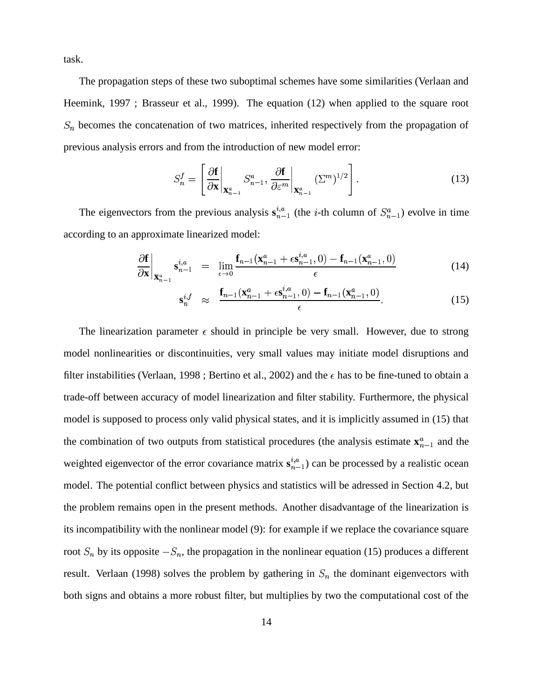task.

The propagation steps of these two suboptimal schemes have some similarities (Verlaan and Heemink, 1997 ; Brasseur et al., 1999). The equation (12) when applied to the square root  $S_n$  becomes the concatenation of two matrices, inherited respectively from the propagation of previous analysis errors and from the introduction of new model error:

$$
S_n^f = \left[\left.\frac{\partial \mathbf{f}}{\partial \mathbf{x}}\right|_{\mathbf{X}_{n-1}^a} S_{n-1}^a, \left.\frac{\partial \mathbf{f}}{\partial \varepsilon^m}\right|_{\mathbf{X}_{n-1}^a} (\Sigma^m)^{1/2}\right].
$$
 (13)

The eigenvectors from the previous analysis  $s_{n-1}^{i,a}$  (the *i*-th column of  $S_{n-1}^a$ ) evolve in time according to an approximate linearized model:

$$
\frac{\partial \mathbf{f}}{\partial \mathbf{x}} \bigg|_{\mathbf{X}_{n-1}^a} \mathbf{s}_{n-1}^{i,a} = \lim_{\epsilon \to 0} \frac{\mathbf{f}_{n-1}(\mathbf{x}_{n-1}^a + \epsilon \mathbf{s}_{n-1}^{i,a}, 0) - \mathbf{f}_{n-1}(\mathbf{x}_{n-1}^a, 0)}{\epsilon}
$$
(14)

$$
\mathbf{s}_n^{i,f} \quad \approx \quad \frac{\mathbf{f}_{n-1}(\mathbf{x}_{n-1}^a + \epsilon \mathbf{s}_{n-1}^{i,a}, 0) - \mathbf{f}_{n-1}(\mathbf{x}_{n-1}^a, 0)}{\epsilon}.
$$

The linearization parameter  $\epsilon$  should in principle be very small. However, due to strong model nonlinearities or discontinuities, very small values may initiate model disruptions and filter instabilities (Verlaan, 1998; Bertino et al., 2002) and the  $\epsilon$  has to be fine-tuned to obtain a trade-off between accuracy of model linearization and filter stability. Furthermore, the physical model is supposed to process only valid physical states, and it is implicitly assumed in (15) that the combination of two outputs from statistical procedures (the analysis estimate  $\mathbf{x}_{n-1}^a$  and the weighted eigenvector of the error covariance matrix  $s_{n-1}^{i,a}$  can be processed by a realistic ocean model. The potential conflict between physics and statistics will be adressed in Section 4.2, but the problem remains open in the present methods. Another disadvantage of the linearization is its incompatibility with the nonlinear model (9): for example if we replace the covariance square root  $S_n$  by its opposite  $-S_n$ , the propagation in the nonlinear equation (15) produces a different result. Verlaan (1998) solves the problem by gathering in  $S_n$  the dominant eigenvectors with both signs and obtains a more robust filter, but multiplies by two the computational cost of the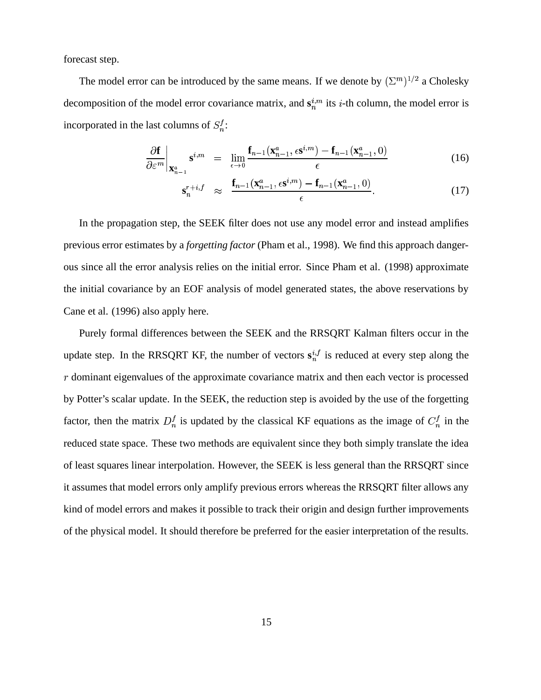forecast step.

The model error can be introduced by the same means. If we denote by  $(\Sigma^m)^{1/2}$  a Choles  $^{1/2}$  a Cholesky decomposition of the model error covariance matrix, and  $\mathbf{s}_n^{i,m}$  its *i*-th column, the model error is incorporated in the last columns of  $S_n^f$ :

$$
\left. \frac{\partial \mathbf{f}}{\partial \varepsilon^m} \right|_{\mathbf{X}_{n-1}^a} \mathbf{s}^{i,m} = \lim_{\epsilon \to 0} \frac{\mathbf{f}_{n-1}(\mathbf{x}_{n-1}^a, \epsilon \mathbf{s}^{i,m}) - \mathbf{f}_{n-1}(\mathbf{x}_{n-1}^a, 0)}{\epsilon}
$$
(16)

$$
\mathbf{s}_n^{r+i,f} \quad \approx \quad \frac{\mathbf{f}_{n-1}(\mathbf{x}_{n-1}^a, \epsilon \mathbf{s}^{i,m}) - \mathbf{f}_{n-1}(\mathbf{x}_{n-1}^a, 0)}{\epsilon}.
$$

In the propagation step, the SEEK filter does not use any model error and instead amplifies previous error estimates by a *forgetting factor* (Pham et al., 1998). We find this approach dangerous since all the error analysis relies on the initial error. Since Pham et al. (1998) approximate the initial covariance by an EOF analysis of model generated states, the above reservations by Cane et al. (1996) also apply here.

Purely formal differences between the SEEK and the RRSQRT Kalman filters occur in the update step. In the RRSQRT KF, the number of vectors  $s_n^{i,f}$  is reduced at every step along the  $r$  dominant eigenvalues of the approximate covariance matrix and then each vector is processed by Potter's scalar update. In the SEEK, the reduction step is avoided by the use of the forgetting factor, then the matrix  $D_n^f$  is updated by the classical KF equations as the image of  $C_n^f$  in the reduced state space. These two methods are equivalent since they both simply translate the idea of least squares linear interpolation. However, the SEEK is less general than the RRSQRT since it assumes that model errors only amplify previous errors whereas the RRSQRT filter allows any kind of model errors and makes it possible to track their origin and design further improvements of the physical model. It should therefore be preferred for the easier interpretation of the results.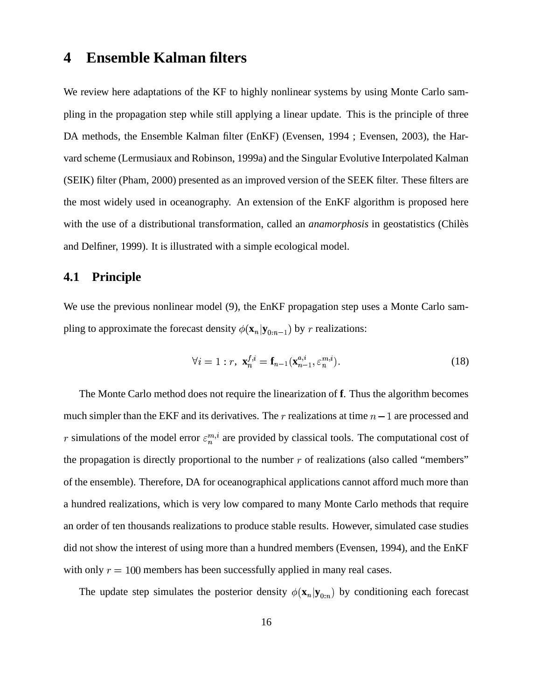## **4 Ensemble Kalman filters**

We review here adaptations of the KF to highly nonlinear systems by using Monte Carlo sampling in the propagation step while still applying a linear update. This is the principle of three DA methods, the Ensemble Kalman filter (EnKF) (Evensen, 1994 ; Evensen, 2003), the Harvard scheme (Lermusiaux and Robinson, 1999a) and the Singular Evolutive Interpolated Kalman (SEIK) filter (Pham, 2000) presented as an improved version of the SEEK filter. These filters are the most widely used in oceanography. An extension of the EnKF algorithm is proposed here with the use of a distributional transformation, called an *anamorphosis* in geostatistics (Chiles and Delfiner, 1999). It is illustrated with a simple ecological model.

### **4.1 Principle**

We use the previous nonlinear model (9), the EnKF propagation step uses a Monte Carlo sampling to approximate the forecast density  $\phi(\mathbf{x}_n | \mathbf{y}_{0:n-1})$  by r realizations:

$$
\forall i = 1 : r, \ \mathbf{x}_n^{f,i} = \mathbf{f}_{n-1}(\mathbf{x}_{n-1}^{a,i}, \varepsilon_n^{m,i}). \tag{18}
$$

The Monte Carlo method does not require the linearization of **f**. Thus the algorithm becomes much simpler than the EKF and its derivatives. The  $r$  realizations at time  $n - 1$  are processed and r simulations of the model error  $\varepsilon_n^{m,i}$  are provided by classical tools. The computational cost of the propagation is directly proportional to the number  $r$  of realizations (also called "members" of the ensemble). Therefore, DA for oceanographical applications cannot afford much more than a hundred realizations, which is very low compared to many Monte Carlo methods that require an order of ten thousands realizations to produce stable results. However, simulated case studies did not show the interest of using more than a hundred members (Evensen, 1994), and the EnKF with only  $r = 100$  members has been successfully applied in many real cases.

The update step simulates the posterior density  $\phi(\mathbf{x}_n | \mathbf{y}_{0:n})$  by conditioning each forecast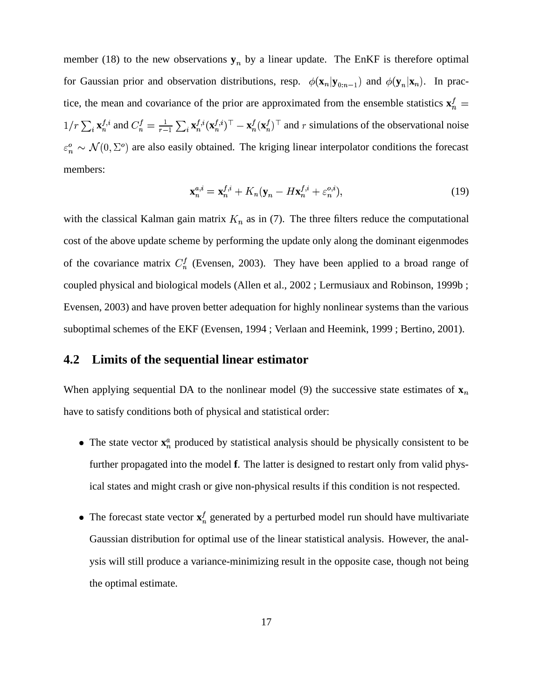member (18) to the new observations  $y_n$  by a linear update. The EnKF is therefore optimal for Gaussian prior and observation distributions, resp.  $\phi(\mathbf{x}_n|\mathbf{y}_{0:n-1})$  and  $\phi(\mathbf{y}_n|\mathbf{x}_n)$ . In practice, the mean and covariance of the prior are approximated from the ensemble statistics  $x_n^f$  $1/r \sum_i \mathbf{x}_n^{f,i}$  and  $C_n^f = \frac{1}{r-1} \sum_i \mathbf{x}_n^{f,i} (\mathbf{x}_n^f)$  $\frac{1}{r-1}\sum_i \mathbf{x}_n^{f,i}(\mathbf{x}_n^{f,i})^\top - \mathbf{x}_n^f(\mathbf{x}_n^f)^\top$  and r simulations of the observational noise  $\varepsilon_n^o \sim \mathcal{N}(0, \Sigma^o)$  are also easily obtained. The kriging linear interpolator conditions the forecast members:

$$
\mathbf{x}_n^{a,i} = \mathbf{x}_n^{f,i} + K_n(\mathbf{y}_n - H\mathbf{x}_n^{f,i} + \varepsilon_n^{o,i}),\tag{19}
$$

with the classical Kalman gain matrix  $K_n$  as in (7). The three filters reduce the computational cost of the above update scheme by performing the update only along the dominant eigenmodes of the covariance matrix  $C_n^f$  (Evensen, 2003). They have been applied to a broad range of coupled physical and biological models (Allen et al., 2002 ; Lermusiaux and Robinson, 1999b ; Evensen, 2003) and have proven better adequation for highly nonlinear systems than the various suboptimal schemes of the EKF (Evensen, 1994 ; Verlaan and Heemink, 1999 ; Bertino, 2001).

#### **4.2 Limits of the sequential linear estimator**

When applying sequential DA to the nonlinear model (9) the successive state estimates of  $\mathbf{x}_n$ have to satisfy conditions both of physical and statistical order:

- The state vector  $\mathbf{x}_n^a$  produced by statistical analysis should be physically consistent to be further propagated into the model **f**. The latter is designed to restart only from valid physical states and might crash or give non-physical results if this condition is not respected.
- The forecast state vector  $\mathbf{x}_n^f$  generated by a perturbed model run should have multivariate Gaussian distribution for optimal use of the linear statistical analysis. However, the analysis will still produce a variance-minimizing result in the opposite case, though not being the optimal estimate.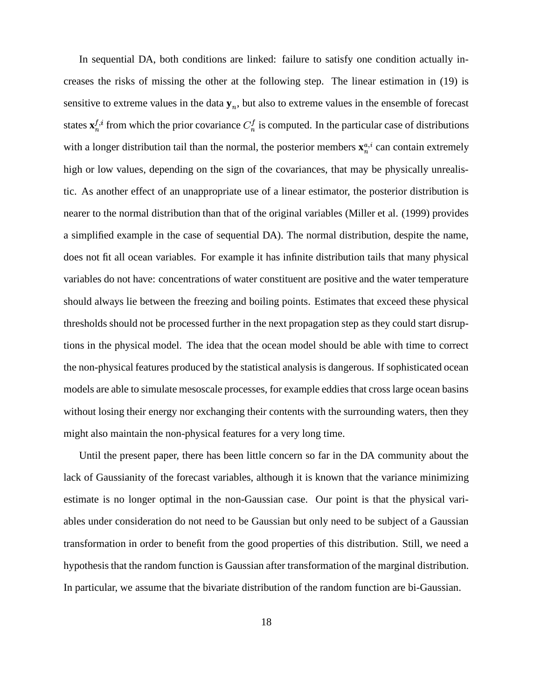In sequential DA, both conditions are linked: failure to satisfy one condition actually increases the risks of missing the other at the following step. The linear estimation in (19) is sensitive to extreme values in the data  $y_n$ , but also to extreme values in the ensemble of forecast states  $\mathbf{x}_n^{f,i}$  from which the prior covariance  $C_n^f$  is computed. In the particular case of distributions with a longer distribution tail than the normal, the posterior members  $\mathbf{x}_n^{a,i}$  can contain extremely high or low values, depending on the sign of the covariances, that may be physically unrealistic. As another effect of an unappropriate use of a linear estimator, the posterior distribution is nearer to the normal distribution than that of the original variables (Miller et al. (1999) provides a simplified example in the case of sequential DA). The normal distribution, despite the name, does not fit all ocean variables. For example it has infinite distribution tails that many physical variables do not have: concentrations of water constituent are positive and the water temperature should always lie between the freezing and boiling points. Estimates that exceed these physical thresholds should not be processed further in the next propagation step as they could start disruptions in the physical model. The idea that the ocean model should be able with time to correct the non-physical features produced by the statistical analysis is dangerous. If sophisticated ocean models are able to simulate mesoscale processes, for example eddies that cross large ocean basins without losing their energy nor exchanging their contents with the surrounding waters, then they might also maintain the non-physical features for a very long time.

Until the present paper, there has been little concern so far in the DA community about the lack of Gaussianity of the forecast variables, although it is known that the variance minimizing estimate is no longer optimal in the non-Gaussian case. Our point is that the physical variables under consideration do not need to be Gaussian but only need to be subject of a Gaussian transformation in order to benefit from the good properties of this distribution. Still, we need a hypothesis that the random function is Gaussian after transformation of the marginal distribution. In particular, we assume that the bivariate distribution of the random function are bi-Gaussian.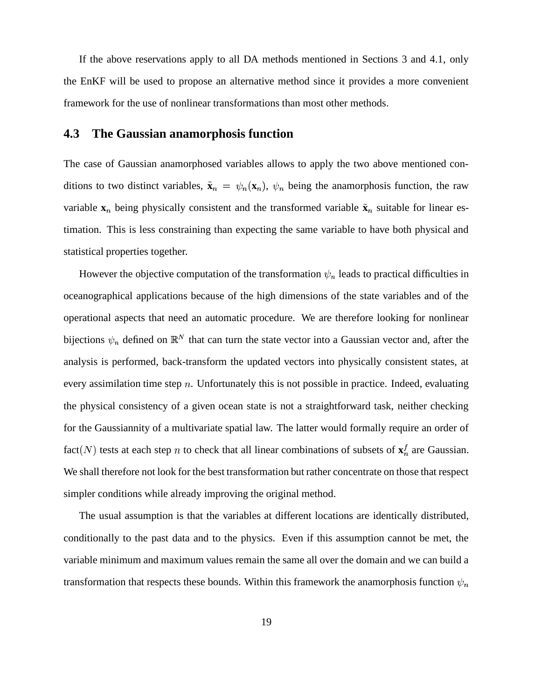If the above reservations apply to all DA methods mentioned in Sections 3 and 4.1, only the EnKF will be used to propose an alternative method since it provides a more convenient framework for the use of nonlinear transformations than most other methods.

#### **4.3 The Gaussian anamorphosis function**

The case of Gaussian anamorphosed variables allows to apply the two above mentioned conditions to two distinct variables,  $\tilde{\mathbf{x}}_n = \psi_n(\mathbf{x}_n)$ ,  $\psi_n$  being the anamorphosis function, the raw variable  $x_n$  being physically consistent and the transformed variable  $\tilde{x}_n$  suitable for linear estimation. This is less constraining than expecting the same variable to have both physical and statistical properties together.

However the objective computation of the transformation  $\psi_n$  leads to practical difficulties in oceanographical applications because of the high dimensions of the state variables and of the operational aspects that need an automatic procedure. We are therefore looking for nonlinear bijections  $\psi_n$  defined on  $\mathbb{R}^N$  that can turn the state vector into a Gaussian vector and, after the analysis is performed, back-transform the updated vectors into physically consistent states, at every assimilation time step  $n$ . Unfortunately this is not possible in practice. Indeed, evaluating the physical consistency of a given ocean state is not a straightforward task, neither checking for the Gaussiannity of a multivariate spatial law. The latter would formally require an order of fact  $(N)$  tests at each step *n* to check that all linear combinations of subsets of  $\mathbf{x}_n^f$  are Gaussian. We shall therefore not look for the best transformation but rather concentrate on those that respect simpler conditions while already improving the original method.

The usual assumption is that the variables at different locations are identically distributed, conditionally to the past data and to the physics. Even if this assumption cannot be met, the variable minimum and maximum values remain the same all over the domain and we can build a transformation that respects these bounds. Within this framework the anamorphosis function  $\psi_n$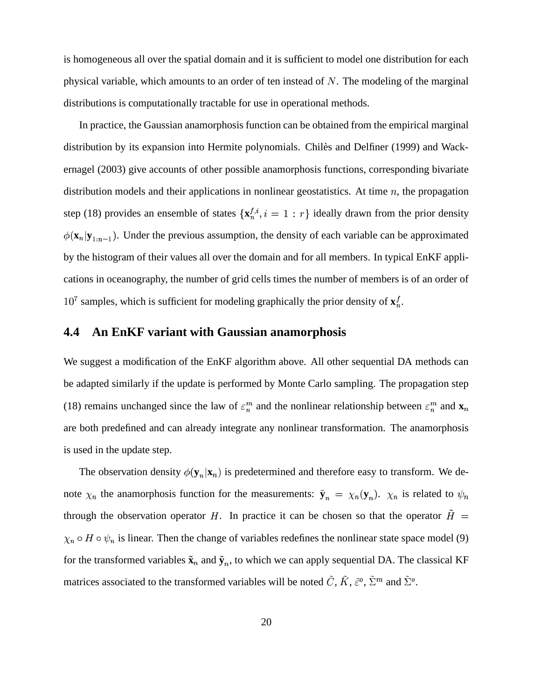is homogeneous all over the spatial domain and it is sufficient to model one distribution for each physical variable, which amounts to an order of ten instead of  $N$ . The modeling of the marginal distributions is computationally tractable for use in operational methods.

In practice, the Gaussian anamorphosis function can be obtained from the empirical marginal distribution by its expansion into Hermite polynomials. Chiles and Delfiner (1999) and Wackernagel (2003) give accounts of other possible anamorphosis functions, corresponding bivariate distribution models and their applications in nonlinear geostatistics. At time  $n$ , the propagation step (18) provides an ensemble of states  $\{x_n^{f,i}, i = 1 : r\}$  ideally drawn from the prior density  $\phi(\mathbf{x}_n|\mathbf{y}_{1:n-1})$ . Under the previous assumption, the density of each variable can be approximated by the histogram of their values all over the domain and for all members. In typical EnKF applications in oceanography, the number of grid cells times the number of members is of an order of  $10^7$  samples, which is sufficient for modeling graphically the prior density of  $\mathbf{x}_n^f$ .

### **4.4 An EnKF variant with Gaussian anamorphosis**

We suggest a modification of the EnKF algorithm above. All other sequential DA methods can be adapted similarly if the update is performed by Monte Carlo sampling. The propagation step (18) remains unchanged since the law of  $\varepsilon_n^m$  and the nonlinear relationship between  $\varepsilon_n^m$  and  $\mathbf{x}_n$ are both predefined and can already integrate any nonlinear transformation. The anamorphosis is used in the update step.

The observation density  $\phi(\mathbf{y}_n|\mathbf{x}_n)$  is predetermined and therefore easy to transform. We denote  $\chi_n$  the anamorphosis function for the measurements:  $\tilde{\mathbf{y}}_n = \chi_n(\mathbf{y}_n)$ .  $\chi_n$  is related to  $\psi_n$ through the observation operator H. In practice it can be chosen so that the operator  $\tilde{H}$  =  $\chi_n \circ H \circ \psi_n$  is linear. Then the change of variables redefines the nonlinear state space model (9) for the transformed variables  $\tilde{\mathbf{x}}_n$  and  $\tilde{\mathbf{y}}_n$ , to which we can apply sequential DA. The classical KF matrices associated to the transformed variables will be noted C, K,  $\tilde{\varepsilon}^o$ ,  $\Sigma^m$  and  $\Sigma^o$ .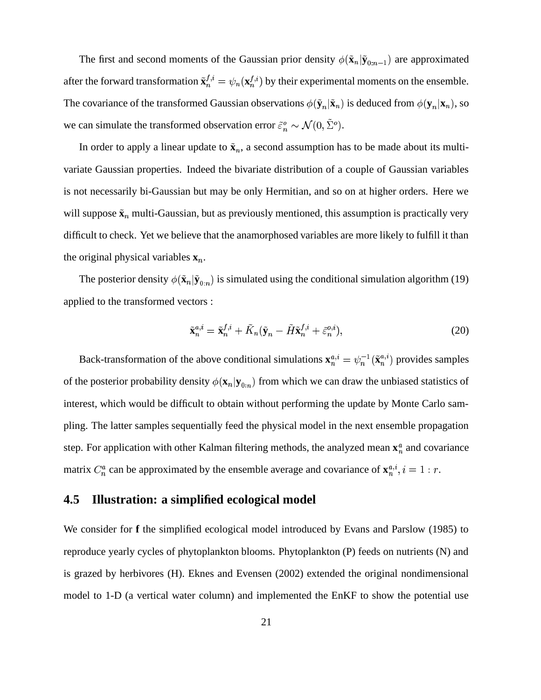The first and second moments of the Gaussian prior density  $\phi(\tilde{\mathbf{x}}_n | \tilde{\mathbf{y}}_{0:n-1})$  are approximated after the forward transformation  $\tilde{\mathbf{x}}_n^{f,i} = \psi_n(\mathbf{x}_n^{f,i})$  by their experimental moments on the ensemble. The covariance of the transformed Gaussian observations  $\phi(\tilde{\mathbf{y}}_n|\tilde{\mathbf{x}}_n)$  is deduced from  $\phi(\mathbf{y}_n|\mathbf{x}_n)$ , so we can simulate the transformed observation error  $\tilde{\varepsilon}_n^o \sim \mathcal{N}(0, \Sigma^o)$ .

In order to apply a linear update to  $\tilde{\mathbf{x}}_n$ , a second assumption has to be made about its multivariate Gaussian properties. Indeed the bivariate distribution of a couple of Gaussian variables is not necessarily bi-Gaussian but may be only Hermitian, and so on at higher orders. Here we will suppose  $\tilde{\mathbf{x}}_n$  multi-Gaussian, but as previously mentioned, this assumption is practically very difficult to check. Yet we believe that the anamorphosed variables are more likely to fulfill it than the original physical variables  $\mathbf{x}_n$ .

The posterior density  $\phi(\tilde{\mathbf{x}}_n | \tilde{\mathbf{y}}_{0:n})$  is simulated using the conditional simulation algorithm (19) applied to the transformed vectors :

$$
\tilde{\mathbf{x}}_n^{a,i} = \tilde{\mathbf{x}}_n^{f,i} + \tilde{K}_n(\tilde{\mathbf{y}}_n - \tilde{H}\tilde{\mathbf{x}}_n^{f,i} + \tilde{\varepsilon}_n^{o,i}),\tag{20}
$$

Back-transformation of the above conditional simulations  $\mathbf{x}_n^{a,i} = \psi_n^{-1}(\tilde{\mathbf{x}}_n^{a,i})$  provides samples of the posterior probability density  $\phi(\mathbf{x}_n|\mathbf{y}_{0:n})$  from which we can draw the unbiased statistics of interest, which would be difficult to obtain without performing the update by Monte Carlo sampling. The latter samples sequentially feed the physical model in the next ensemble propagation step. For application with other Kalman filtering methods, the analyzed mean  $\mathbf{x}_n^a$  and covariance matrix  $C_n^a$  can be approximated by the ensemble average and covariance of  $\mathbf{x}_n^{a,i}$ ,  $i = 1 : r$ .

# **4.5 Illustration: a simplified ecological model**

We consider for **f** the simplified ecological model introduced by Evans and Parslow (1985) to reproduce yearly cycles of phytoplankton blooms. Phytoplankton (P) feeds on nutrients (N) and is grazed by herbivores (H). Eknes and Evensen (2002) extended the original nondimensional model to 1-D (a vertical water column) and implemented the EnKF to show the potential use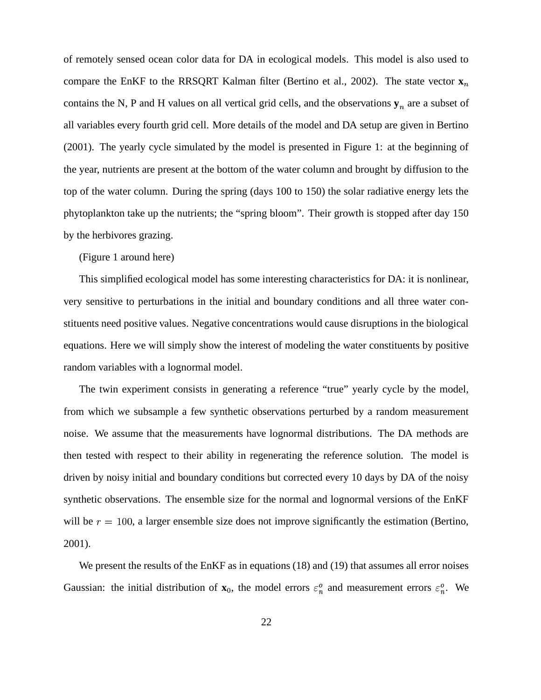of remotely sensed ocean color data for DA in ecological models. This model is also used to compare the EnKF to the RRSQRT Kalman filter (Bertino et al., 2002). The state vector  $\mathbf{x}_n$ contains the N, P and H values on all vertical grid cells, and the observations  $y_n$  are a subset of all variables every fourth grid cell. More details of the model and DA setup are given in Bertino (2001). The yearly cycle simulated by the model is presented in Figure 1: at the beginning of the year, nutrients are present at the bottom of the water column and brought by diffusion to the top of the water column. During the spring (days 100 to 150) the solar radiative energy lets the phytoplankton take up the nutrients; the "spring bloom". Their growth is stopped after day 150 by the herbivores grazing.

(Figure 1 around here)

This simplified ecological model has some interesting characteristics for DA: it is nonlinear, very sensitive to perturbations in the initial and boundary conditions and all three water constituents need positive values. Negative concentrations would cause disruptions in the biological equations. Here we will simply show the interest of modeling the water constituents by positive random variables with a lognormal model.

The twin experiment consists in generating a reference "true" yearly cycle by the model, from which we subsample a few synthetic observations perturbed by a random measurement noise. We assume that the measurements have lognormal distributions. The DA methods are then tested with respect to their ability in regenerating the reference solution. The model is driven by noisy initial and boundary conditions but corrected every 10 days by DA of the noisy synthetic observations. The ensemble size for the normal and lognormal versions of the EnKF will be  $r = 100$ , a larger ensemble size does not improve significantly the estimation (Bertino, 2001).

We present the results of the EnKF as in equations (18) and (19) that assumes all error noises Gaussian: the initial distribution of  $\mathbf{x}_0$ , the model errors  $\varepsilon_n^o$  and measurement errors  $\varepsilon_n^o$ . We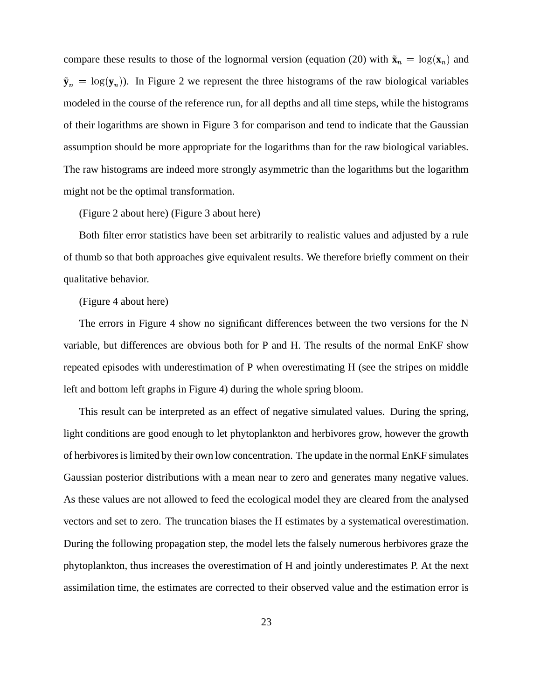compare these results to those of the lognormal version (equation (20) with  $\tilde{\mathbf{x}}_n = \log(\mathbf{x}_n)$  and  $\tilde{\mathbf{y}}_n = \log(\mathbf{y}_n)$ ). In Figure 2 we represent the three histograms of the raw biological variables modeled in the course of the reference run, for all depths and all time steps, while the histograms of their logarithms are shown in Figure 3 for comparison and tend to indicate that the Gaussian assumption should be more appropriate for the logarithms than for the raw biological variables. The raw histograms are indeed more strongly asymmetric than the logarithms but the logarithm might not be the optimal transformation.

(Figure 2 about here) (Figure 3 about here)

Both filter error statistics have been set arbitrarily to realistic values and adjusted by a rule of thumb so that both approaches give equivalent results. We therefore briefly comment on their qualitative behavior.

(Figure 4 about here)

The errors in Figure 4 show no significant differences between the two versions for the N variable, but differences are obvious both for P and H. The results of the normal EnKF show repeated episodes with underestimation of P when overestimating H (see the stripes on middle left and bottom left graphs in Figure 4) during the whole spring bloom.

This result can be interpreted as an effect of negative simulated values. During the spring, light conditions are good enough to let phytoplankton and herbivores grow, however the growth of herbivoresislimited by their own low concentration. The update in the normal EnKF simulates Gaussian posterior distributions with a mean near to zero and generates many negative values. As these values are not allowed to feed the ecological model they are cleared from the analysed vectors and set to zero. The truncation biases the H estimates by a systematical overestimation. During the following propagation step, the model lets the falsely numerous herbivores graze the phytoplankton, thus increases the overestimation of H and jointly underestimates P. At the next assimilation time, the estimates are corrected to their observed value and the estimation error is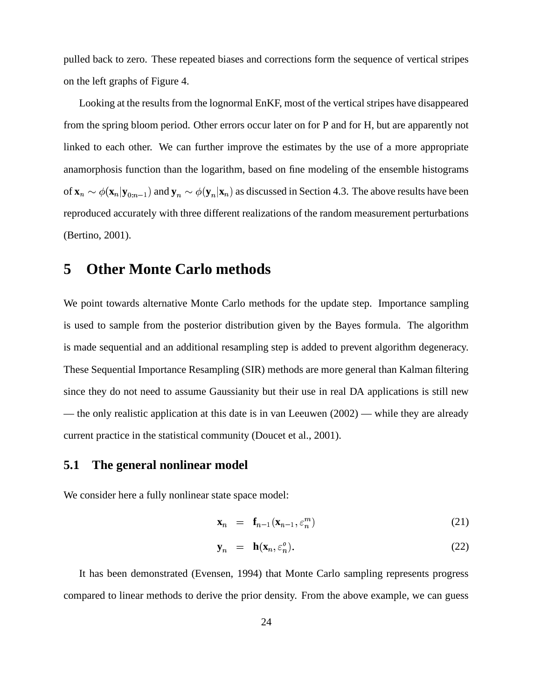pulled back to zero. These repeated biases and corrections form the sequence of vertical stripes on the left graphs of Figure 4.

Looking at the results from the lognormal EnKF, most of the vertical stripes have disappeared from the spring bloom period. Other errors occur later on for P and for H, but are apparently not linked to each other. We can further improve the estimates by the use of a more appropriate anamorphosis function than the logarithm, based on fine modeling of the ensemble histograms of  $\mathbf{x}_n \sim \phi(\mathbf{x}_n | \mathbf{y}_{0:n-1})$  and  $\mathbf{y}_n \sim \phi(\mathbf{y}_n | \mathbf{x}_n)$  as discussed in Section 4.3. The above results have been reproduced accurately with three different realizations of the random measurement perturbations (Bertino, 2001).

# **5 Other Monte Carlo methods**

We point towards alternative Monte Carlo methods for the update step. Importance sampling is used to sample from the posterior distribution given by the Bayes formula. The algorithm is made sequential and an additional resampling step is added to prevent algorithm degeneracy. These Sequential Importance Resampling (SIR) methods are more general than Kalman filtering since they do not need to assume Gaussianity but their use in real DA applications is still new — the only realistic application at this date is in van Leeuwen (2002) — while they are already current practice in the statistical community (Doucet et al., 2001).

#### **5.1 The general nonlinear model**

We consider here a fully nonlinear state space model:

$$
\mathbf{x}_n = \mathbf{f}_{n-1}(\mathbf{x}_{n-1}, \varepsilon_n^m) \tag{21}
$$

$$
\mathbf{y}_n = \mathbf{h}(\mathbf{x}_n, \varepsilon_n^o). \tag{22}
$$

It has been demonstrated (Evensen, 1994) that Monte Carlo sampling represents progress compared to linear methods to derive the prior density. From the above example, we can guess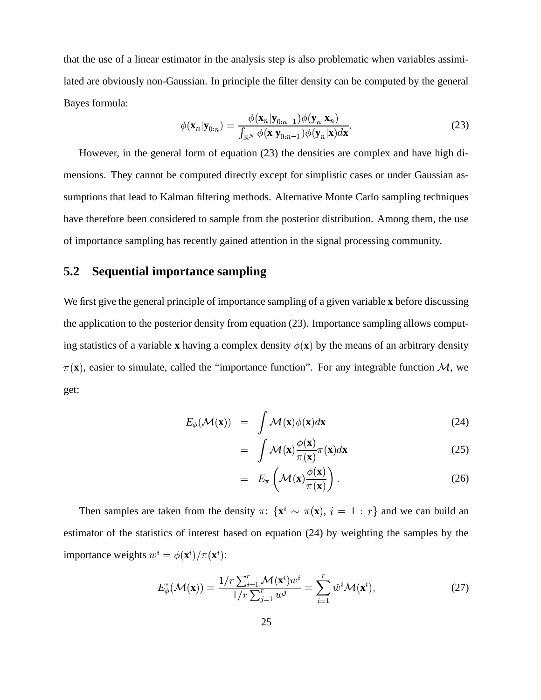that the use of a linear estimator in the analysis step is also problematic when variables assimilated are obviously non-Gaussian. In principle the filter density can be computed by the general Bayes formula:

$$
\phi(\mathbf{x}_n|\mathbf{y}_{0:n}) = \frac{\phi(\mathbf{x}_n|\mathbf{y}_{0:n-1})\phi(\mathbf{y}_n|\mathbf{x}_n)}{\int_{\mathbb{R}^N}\phi(\mathbf{x}|\mathbf{y}_{0:n-1})\phi(\mathbf{y}_n|\mathbf{x})d\mathbf{x}}.
$$
\n(23)

However, in the general form of equation (23) the densities are complex and have high dimensions. They cannot be computed directly except for simplistic cases or under Gaussian assumptions that lead to Kalman filtering methods. Alternative Monte Carlo sampling techniques have therefore been considered to sample from the posterior distribution. Among them, the use of importance sampling has recently gained attention in the signal processing community.

### **5.2 Sequential importance sampling**

We first give the general principle of importance sampling of a given variable **x** before discussing the application to the posterior density from equation (23). Importance sampling allows computing statistics of a variable **x** having a complex density  $\phi(\mathbf{x})$  by the means of an arbitrary density  $\pi(\mathbf{x})$ , easier to simulate, called the "importance function". For any integrable function M, we get:

$$
E_{\phi}(\mathcal{M}(\mathbf{x})) = \int \mathcal{M}(\mathbf{x}) \phi(\mathbf{x}) d\mathbf{x}
$$
 (24)

$$
= \int \mathcal{M}(\mathbf{x}) \frac{\phi(\mathbf{x})}{\pi(\mathbf{x})} \pi(\mathbf{x}) d\mathbf{x}
$$
 (25)

$$
= E_{\pi}\left(\mathcal{M}(\mathbf{x})\frac{\phi(\mathbf{x})}{\pi(\mathbf{x})}\right).
$$
 (26)

Then samples are taken from the density  $\pi$ :  $\{x^i \sim \pi(x), i = 1 : r\}$  and we can build an estimator of the statistics of interest based on equation (24) by weighting the samples by the importance weights  $w^i = \phi(\mathbf{x}^i)/\pi(\mathbf{x}^i)$ :

$$
E_{\phi}^*(\mathcal{M}(\mathbf{x})) = \frac{1/r \sum_{i=1}^r \mathcal{M}(\mathbf{x}^i) w^i}{1/r \sum_{j=1}^r w^j} = \sum_{i=1}^r \tilde{w}^i \mathcal{M}(\mathbf{x}^i),
$$
\n(27)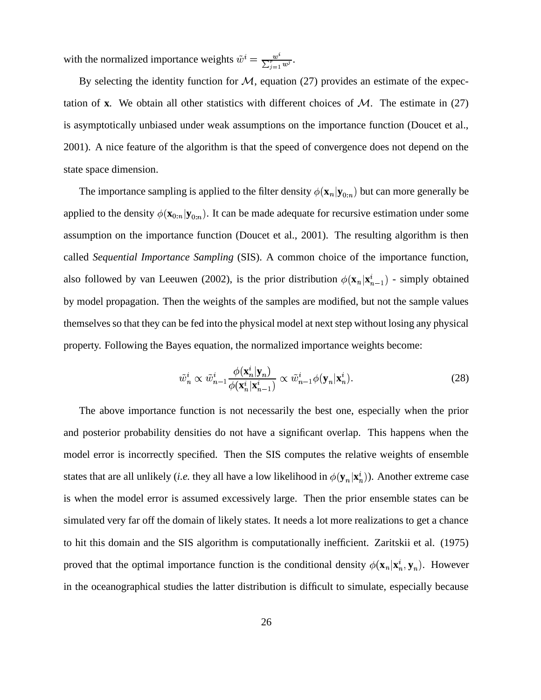with the normalized importance weights  $\tilde{w}^i = \frac{w^i}{\sum_{i=1}^r w_i^i}$ .  $\frac{w^i}{\sum_{i=1}^r w^j}$ .

By selecting the identity function for  $M$ , equation (27) provides an estimate of the expectation of **x**. We obtain all other statistics with different choices of  $M$ . The estimate in (27) is asymptotically unbiased under weak assumptions on the importance function (Doucet et al., 2001). A nice feature of the algorithm is that the speed of convergence does not depend on the state space dimension.

The importance sampling is applied to the filter density  $\phi(\mathbf{x}_n|\mathbf{y}_{0:n})$  but can more generally be applied to the density  $\phi(\mathbf{x}_{0:n}|\mathbf{y}_{0:n})$ . It can be made adequate for recursive estimation under some assumption on the importance function (Doucet et al., 2001). The resulting algorithm is then called *Sequential Importance Sampling* (SIS). A common choice of the importance function, also followed by van Leeuwen (2002), is the prior distribution  $\phi(\mathbf{x}_n|\mathbf{x}_{n-1}^i)$  - simply obtained by model propagation. Then the weights of the samples are modified, but not the sample values themselves so that they can be fed into the physical model at next step without losing any physical property. Following the Bayes equation, the normalized importance weights become:

$$
\tilde{w}_n^i \propto \tilde{w}_{n-1}^i \frac{\phi(\mathbf{x}_n^i | \mathbf{y}_n)}{\phi(\mathbf{x}_n^i | \mathbf{x}_{n-1}^i)} \propto \tilde{w}_{n-1}^i \phi(\mathbf{y}_n | \mathbf{x}_n^i).
$$
\n(28)

The above importance function is not necessarily the best one, especially when the prior and posterior probability densities do not have a significant overlap. This happens when the model error is incorrectly specified. Then the SIS computes the relative weights of ensemble states that are all unlikely (*i.e.* they all have a low likelihood in  $\phi(\mathbf{y}_n|\mathbf{x}_n^i)$ ). Another extreme case is when the model error is assumed excessively large. Then the prior ensemble states can be simulated very far off the domain of likely states. It needs a lot more realizations to get a chance to hit this domain and the SIS algorithm is computationally inefficient. Zaritskii et al. (1975) proved that the optimal importance function is the conditional density  $\phi(\mathbf{x}_n|\mathbf{x}_n^i, \mathbf{y}_n)$ . However in the oceanographical studies the latter distribution is difficult to simulate, especially because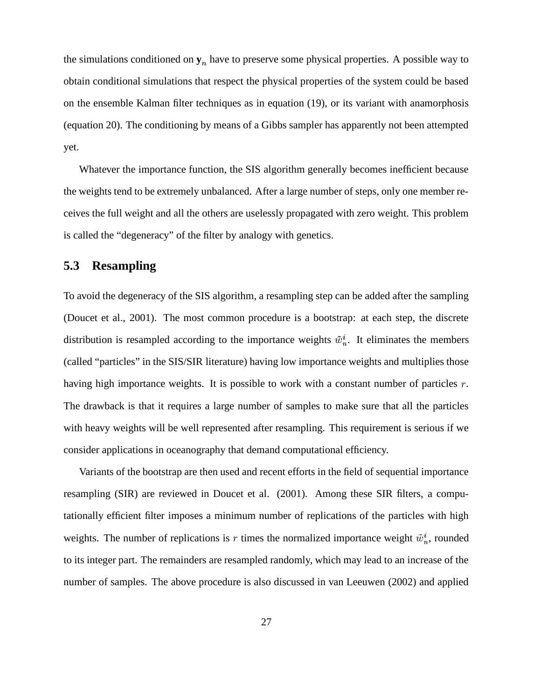the simulations conditioned on  $y_n$  have to preserve some physical properties. A possible way to obtain conditional simulations that respect the physical properties of the system could be based on the ensemble Kalman filter techniques as in equation (19), or its variant with anamorphosis (equation 20). The conditioning by means of a Gibbs sampler has apparently not been attempted yet.

Whatever the importance function, the SIS algorithm generally becomes inefficient because the weights tend to be extremely unbalanced. After a large number of steps, only one member receives the full weight and all the others are uselessly propagated with zero weight. This problem is called the "degeneracy" of the filter by analogy with genetics.

### **5.3 Resampling**

To avoid the degeneracy of the SIS algorithm, a resampling step can be added after the sampling (Doucet et al., 2001). The most common procedure is a bootstrap: at each step, the discrete distribution is resampled according to the importance weights  $\tilde{w}_n^i$ . It eliminates the members (called "particles" in the SIS/SIR literature) having low importance weights and multiplies those having high importance weights. It is possible to work with a constant number of particles  $r$ . The drawback is that it requires a large number of samples to make sure that all the particles with heavy weights will be well represented after resampling. This requirement is serious if we consider applications in oceanography that demand computational efficiency.

Variants of the bootstrap are then used and recent efforts in the field of sequential importance resampling (SIR) are reviewed in Doucet et al. (2001). Among these SIR filters, a computationally efficient filter imposes a minimum number of replications of the particles with high weights. The number of replications is  $r$  times the normalized importance weight  $\tilde{w}_n^i$ , rounded to its integer part. The remainders are resampled randomly, which may lead to an increase of the number of samples. The above procedure is also discussed in van Leeuwen (2002) and applied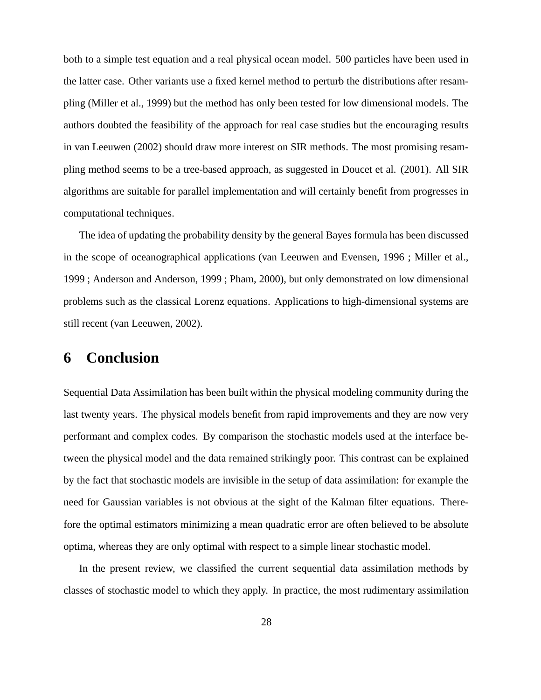both to a simple test equation and a real physical ocean model. 500 particles have been used in the latter case. Other variants use a fixed kernel method to perturb the distributions after resampling (Miller et al., 1999) but the method has only been tested for low dimensional models. The authors doubted the feasibility of the approach for real case studies but the encouraging results in van Leeuwen (2002) should draw more interest on SIR methods. The most promising resampling method seems to be a tree-based approach, as suggested in Doucet et al. (2001). All SIR algorithms are suitable for parallel implementation and will certainly benefit from progresses in computational techniques.

The idea of updating the probability density by the general Bayes formula has been discussed in the scope of oceanographical applications (van Leeuwen and Evensen, 1996 ; Miller et al., 1999 ; Anderson and Anderson, 1999 ; Pham, 2000), but only demonstrated on low dimensional problems such as the classical Lorenz equations. Applications to high-dimensional systems are still recent (van Leeuwen, 2002).

# **6 Conclusion**

Sequential Data Assimilation has been built within the physical modeling community during the last twenty years. The physical models benefit from rapid improvements and they are now very performant and complex codes. By comparison the stochastic models used at the interface between the physical model and the data remained strikingly poor. This contrast can be explained by the fact that stochastic models are invisible in the setup of data assimilation: for example the need for Gaussian variables is not obvious at the sight of the Kalman filter equations. Therefore the optimal estimators minimizing a mean quadratic error are often believed to be absolute optima, whereas they are only optimal with respect to a simple linear stochastic model.

In the present review, we classified the current sequential data assimilation methods by classes of stochastic model to which they apply. In practice, the most rudimentary assimilation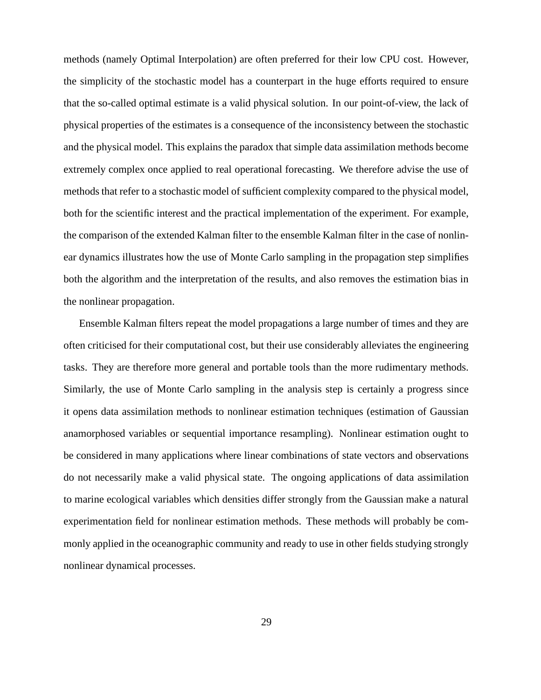methods (namely Optimal Interpolation) are often preferred for their low CPU cost. However, the simplicity of the stochastic model has a counterpart in the huge efforts required to ensure that the so-called optimal estimate is a valid physical solution. In our point-of-view, the lack of physical properties of the estimates is a consequence of the inconsistency between the stochastic and the physical model. This explains the paradox that simple data assimilation methods become extremely complex once applied to real operational forecasting. We therefore advise the use of methods that refer to a stochastic model of sufficient complexity compared to the physical model, both for the scientific interest and the practical implementation of the experiment. For example, the comparison of the extended Kalman filter to the ensemble Kalman filter in the case of nonlinear dynamics illustrates how the use of Monte Carlo sampling in the propagation step simplifies both the algorithm and the interpretation of the results, and also removes the estimation bias in the nonlinear propagation.

Ensemble Kalman filters repeat the model propagations a large number of times and they are often criticised for their computational cost, but their use considerably alleviates the engineering tasks. They are therefore more general and portable tools than the more rudimentary methods. Similarly, the use of Monte Carlo sampling in the analysis step is certainly a progress since it opens data assimilation methods to nonlinear estimation techniques (estimation of Gaussian anamorphosed variables or sequential importance resampling). Nonlinear estimation ought to be considered in many applications where linear combinations of state vectors and observations do not necessarily make a valid physical state. The ongoing applications of data assimilation to marine ecological variables which densities differ strongly from the Gaussian make a natural experimentation field for nonlinear estimation methods. These methods will probably be commonly applied in the oceanographic community and ready to use in other fields studying strongly nonlinear dynamical processes.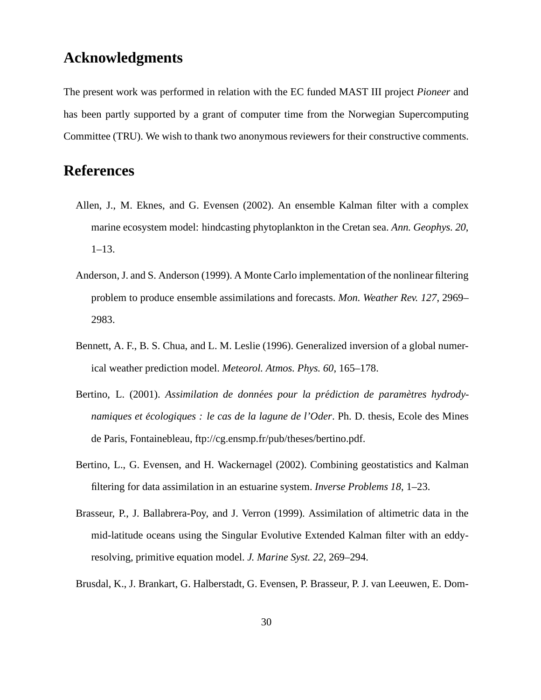# **Acknowledgments**

The present work was performed in relation with the EC funded MAST III project *Pioneer* and has been partly supported by a grant of computer time from the Norwegian Supercomputing Committee (TRU). We wish to thank two anonymous reviewers for their constructive comments.

# **References**

- Allen, J., M. Eknes, and G. Evensen (2002). An ensemble Kalman filter with a complex marine ecosystem model: hindcasting phytoplankton in the Cretan sea. *Ann. Geophys. 20*, 1–13.
- Anderson, J. and S. Anderson (1999). A Monte Carlo implementation of the nonlinear filtering problem to produce ensemble assimilations and forecasts. *Mon. Weather Rev. 127*, 2969– 2983.
- Bennett, A. F., B. S. Chua, and L. M. Leslie (1996). Generalized inversion of a global numerical weather prediction model. *Meteorol. Atmos. Phys. 60*, 165–178.
- Bertino, L. (2001). *Assimilation de données pour la prédiction de paramètres hydrodynamiques et ecolo ´ giques : le cas de la lagune de l'Oder*. Ph. D. thesis, Ecole des Mines de Paris, Fontainebleau, ftp://cg.ensmp.fr/pub/theses/bertino.pdf.
- Bertino, L., G. Evensen, and H. Wackernagel (2002). Combining geostatistics and Kalman filtering for data assimilation in an estuarine system. *Inverse Problems 18*, 1–23.
- Brasseur, P., J. Ballabrera-Poy, and J. Verron (1999). Assimilation of altimetric data in the mid-latitude oceans using the Singular Evolutive Extended Kalman filter with an eddyresolving, primitive equation model. *J. Marine Syst. 22*, 269–294.
- Brusdal, K., J. Brankart, G. Halberstadt, G. Evensen, P. Brasseur, P. J. van Leeuwen, E. Dom-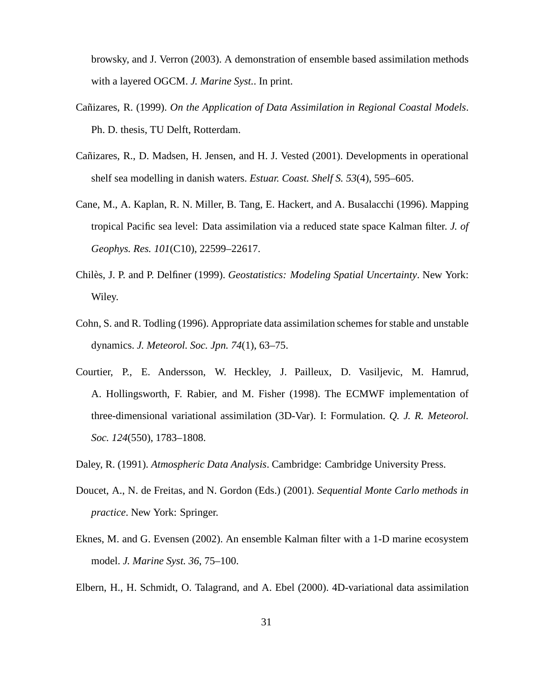browsky, and J. Verron (2003). A demonstration of ensemble based assimilation methods with a layered OGCM. *J. Marine Syst.*. In print.

- Canizares, ˜ R. (1999). *On the Application of Data Assimilation in Regional Coastal Models*. Ph. D. thesis, TU Delft, Rotterdam.
- Cañizares, R., D. Madsen, H. Jensen, and H. J. Vested (2001). Developments in operational shelf sea modelling in danish waters. *Estuar. Coast. Shelf S. 53*(4), 595–605.
- Cane, M., A. Kaplan, R. N. Miller, B. Tang, E. Hackert, and A. Busalacchi (1996). Mapping tropical Pacific sea level: Data assimilation via a reduced state space Kalman filter. *J. of Geophys. Res. 101*(C10), 22599–22617.
- Chiles, ` J. P. and P. Delfiner (1999). *Geostatistics: Modeling Spatial Uncertainty*. New York: Wiley.
- Cohn, S. and R. Todling (1996). Appropriate data assimilation schemes for stable and unstable dynamics. *J. Meteorol. Soc. Jpn. 74*(1), 63–75.
- Courtier, P., E. Andersson, W. Heckley, J. Pailleux, D. Vasiljevic, M. Hamrud, A. Hollingsworth, F. Rabier, and M. Fisher (1998). The ECMWF implementation of three-dimensional variational assimilation (3D-Var). I: Formulation. *Q. J. R. Meteorol. Soc. 124*(550), 1783–1808.
- Daley, R. (1991). *Atmospheric Data Analysis*. Cambridge: Cambridge University Press.
- Doucet, A., N. de Freitas, and N. Gordon (Eds.) (2001). *Sequential Monte Carlo methods in practice*. New York: Springer.
- Eknes, M. and G. Evensen (2002). An ensemble Kalman filter with a 1-D marine ecosystem model. *J. Marine Syst. 36*, 75–100.
- Elbern, H., H. Schmidt, O. Talagrand, and A. Ebel (2000). 4D-variational data assimilation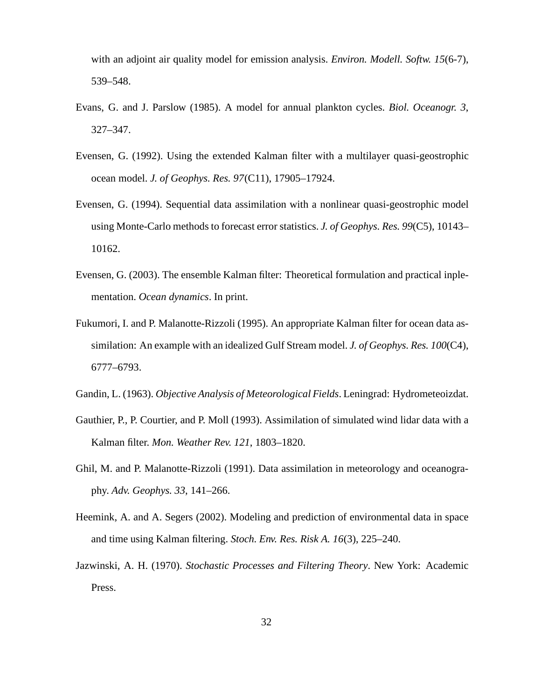with an adjoint air quality model for emission analysis. *Environ. Modell. Softw. 15*(6-7), 539–548.

- Evans, G. and J. Parslow (1985). A model for annual plankton cycles. *Biol. Oceanogr. 3*, 327–347.
- Evensen, G. (1992). Using the extended Kalman filter with a multilayer quasi-geostrophic ocean model. *J. of Geophys. Res. 97*(C11), 17905–17924.
- Evensen, G. (1994). Sequential data assimilation with a nonlinear quasi-geostrophic model using Monte-Carlo methods to forecast error statistics. *J. of Geophys. Res. 99*(C5), 10143– 10162.
- Evensen, G. (2003). The ensemble Kalman filter: Theoretical formulation and practical inplementation. *Ocean dynamics*. In print.
- Fukumori, I. and P. Malanotte-Rizzoli (1995). An appropriate Kalman filter for ocean data assimilation: An example with an idealized Gulf Stream model. *J. of Geophys. Res. 100*(C4), 6777–6793.
- Gandin, L. (1963). *Objective Analysis of Meteorological Fields*. Leningrad: Hydrometeoizdat.
- Gauthier, P., P. Courtier, and P. Moll (1993). Assimilation of simulated wind lidar data with a Kalman filter. *Mon. Weather Rev. 121*, 1803–1820.
- Ghil, M. and P. Malanotte-Rizzoli (1991). Data assimilation in meteorology and oceanography. *Adv. Geophys. 33*, 141–266.
- Heemink, A. and A. Segers (2002). Modeling and prediction of environmental data in space and time using Kalman filtering. *Stoch. Env. Res. Risk A. 16*(3), 225–240.
- Jazwinski, A. H. (1970). *Stochastic Processes and Filtering Theory*. New York: Academic Press.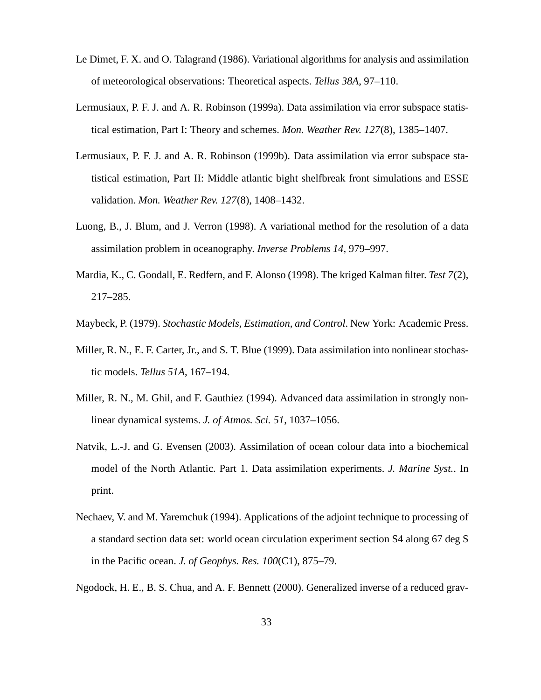- Le Dimet, F. X. and O. Talagrand (1986). Variational algorithms for analysis and assimilation of meteorological observations: Theoretical aspects. *Tellus 38A*, 97–110.
- Lermusiaux, P. F. J. and A. R. Robinson (1999a). Data assimilation via error subspace statistical estimation, Part I: Theory and schemes. *Mon. Weather Rev. 127*(8), 1385–1407.
- Lermusiaux, P. F. J. and A. R. Robinson (1999b). Data assimilation via error subspace statistical estimation, Part II: Middle atlantic bight shelfbreak front simulations and ESSE validation. *Mon. Weather Rev. 127*(8), 1408–1432.
- Luong, B., J. Blum, and J. Verron (1998). A variational method for the resolution of a data assimilation problem in oceanography. *Inverse Problems 14*, 979–997.
- Mardia, K., C. Goodall, E. Redfern, and F. Alonso (1998). The kriged Kalman filter. *Test 7*(2), 217–285.
- Maybeck, P. (1979). *Stochastic Models, Estimation, and Control*. New York: Academic Press.
- Miller, R. N., E. F. Carter, Jr., and S. T. Blue (1999). Data assimilation into nonlinear stochastic models. *Tellus 51A*, 167–194.
- Miller, R. N., M. Ghil, and F. Gauthiez (1994). Advanced data assimilation in strongly nonlinear dynamical systems. *J. of Atmos. Sci. 51*, 1037–1056.
- Natvik, L.-J. and G. Evensen (2003). Assimilation of ocean colour data into a biochemical model of the North Atlantic. Part 1. Data assimilation experiments. *J. Marine Syst.*. In print.
- Nechaev, V. and M. Yaremchuk (1994). Applications of the adjoint technique to processing of a standard section data set: world ocean circulation experiment section S4 along 67 deg S in the Pacific ocean. *J. of Geophys. Res. 100*(C1), 875–79.
- Ngodock, H. E., B. S. Chua, and A. F. Bennett (2000). Generalized inverse of a reduced grav-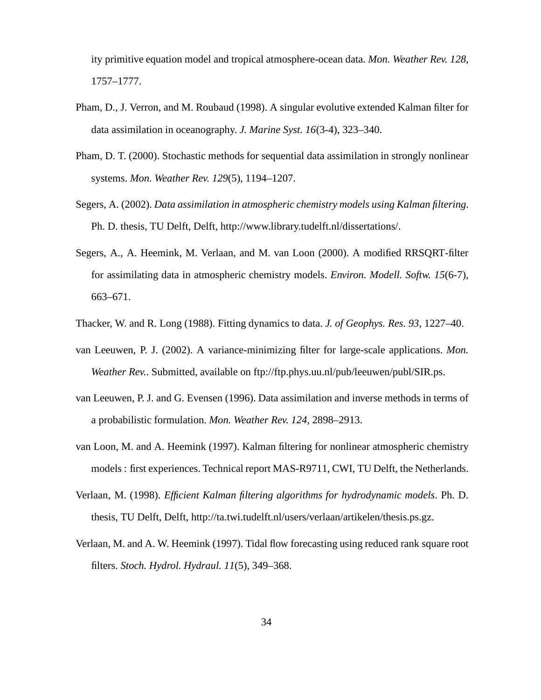ity primitive equation model and tropical atmosphere-ocean data. *Mon. Weather Rev. 128*, 1757–1777.

- Pham, D., J. Verron, and M. Roubaud (1998). A singular evolutive extended Kalman filter for data assimilation in oceanography. *J. Marine Syst. 16*(3-4), 323–340.
- Pham, D. T. (2000). Stochastic methods for sequential data assimilation in strongly nonlinear systems. *Mon. Weather Rev. 129*(5), 1194–1207.
- Segers, A. (2002). *Data assimilation in atmospheric chemistry models using Kalman filtering*. Ph. D. thesis, TU Delft, Delft, http://www.library.tudelft.nl/dissertations/.
- Segers, A., A. Heemink, M. Verlaan, and M. van Loon (2000). A modified RRSQRT-filter for assimilating data in atmospheric chemistry models. *Environ. Modell. Softw. 15*(6-7), 663–671.
- Thacker, W. and R. Long (1988). Fitting dynamics to data. *J. of Geophys. Res. 93*, 1227–40.
- van Leeuwen, P. J. (2002). A variance-minimizing filter for large-scale applications. *Mon. Weather Rev.*. Submitted, available on ftp://ftp.phys.uu.nl/pub/leeuwen/publ/SIR.ps.
- van Leeuwen, P. J. and G. Evensen (1996). Data assimilation and inverse methods in terms of a probabilistic formulation. *Mon. Weather Rev. 124*, 2898–2913.
- van Loon, M. and A. Heemink (1997). Kalman filtering for nonlinear atmospheric chemistry models: first experiences. Technical report MAS-R9711, CWI, TU Delft, the Netherlands.
- Verlaan, M. (1998). *Efficient Kalman filtering algorithms for hydrodynamic models*. Ph. D. thesis, TU Delft, Delft, http://ta.twi.tudelft.nl/users/verlaan/artikelen/thesis.ps.gz.
- Verlaan, M. and A. W. Heemink (1997). Tidal flow forecasting using reduced rank square root filters. *Stoch. Hydrol. Hydraul. 11*(5), 349–368.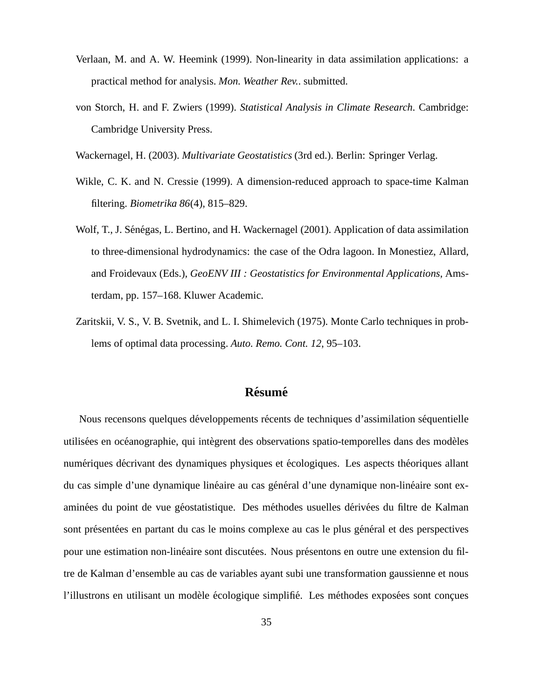- Verlaan, M. and A. W. Heemink (1999). Non-linearity in data assimilation applications: a practical method for analysis. *Mon. Weather Rev.*. submitted.
- von Storch, H. and F. Zwiers (1999). *Statistical Analysis in Climate Research*. Cambridge: Cambridge University Press.

Wackernagel, H. (2003). *Multivariate Geostatistics* (3rd ed.). Berlin: Springer Verlag.

- Wikle, C. K. and N. Cressie (1999). A dimension-reduced approach to space-time Kalman filtering. *Biometrika 86*(4), 815–829.
- Wolf, T., J. Sénégas, L. Bertino, and H. Wackernagel (2001). Application of data assimilation to three-dimensional hydrodynamics: the case of the Odra lagoon. In Monestiez, Allard, and Froidevaux (Eds.), *GeoENV III : Geostatistics for Environmental Applications*, Amsterdam, pp. 157–168. Kluwer Academic.
- Zaritskii, V. S., V. B. Svetnik, and L. I. Shimelevich (1975). Monte Carlo techniques in problems of optimal data processing. *Auto. Remo. Cont. 12*, 95–103.

### **Résumé**

Nous recensons quelques développements récents de techniques d'assimilation séquentielle utilisées en océanographie, qui intègrent des observations spatio-temporelles dans des modèles numériques décrivant des dynamiques physiques et écologiques. Les aspects théoriques allant du cas simple d'une dynamique linéaire au cas général d'une dynamique non-linéaire sont examinées du point de vue géostatistique. Des méthodes usuelles dérivées du filtre de Kalman sont présentées en partant du cas le moins complexe au cas le plus général et des perspectives pour une estimation non-linéaire sont discutées. Nous présentons en outre une extension du filtre de Kalman d'ensemble au cas de variables ayant subi une transformation gaussienne et nous l'illustrons en utilisant un modèle écologique simplifié. Les méthodes exposées sont conques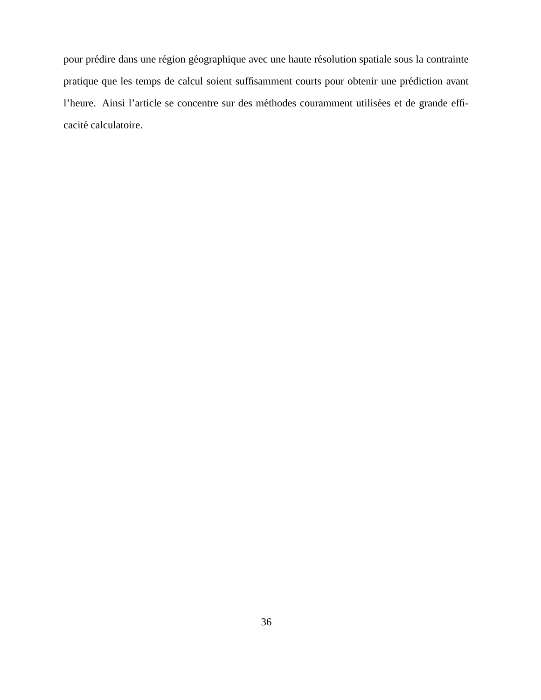pour prédire dans une région géographique avec une haute résolution spatiale sous la contrainte pratique que les temps de calcul soient suffisamment courts pour obtenir une prédiction avant l'heure. Ainsi l'article se concentre sur des méthodes couramment utilisées et de grande efficacité calculatoire.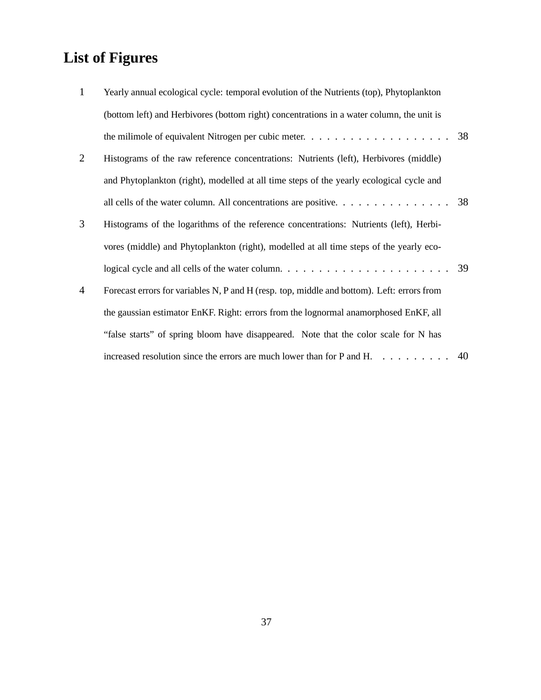# **List of Figures**

| $\mathbf{1}$ | Yearly annual ecological cycle: temporal evolution of the Nutrients (top), Phytoplankton                             |    |
|--------------|----------------------------------------------------------------------------------------------------------------------|----|
|              | (bottom left) and Herbivores (bottom right) concentrations in a water column, the unit is                            |    |
|              | the milimole of equivalent Nitrogen per cubic meter. $\dots \dots \dots \dots \dots \dots \dots \dots \dots$ 38      |    |
| 2            | Histograms of the raw reference concentrations: Nutrients (left), Herbivores (middle)                                |    |
|              | and Phytoplankton (right), modelled at all time steps of the yearly ecological cycle and                             |    |
|              | all cells of the water column. All concentrations are positive. $\dots \dots \dots \dots \dots$                      |    |
| 3            | Histograms of the logarithms of the reference concentrations: Nutrients (left), Herbi-                               |    |
|              | vores (middle) and Phytoplankton (right), modelled at all time steps of the yearly eco-                              |    |
|              | logical cycle and all cells of the water column. $\ldots \ldots \ldots \ldots \ldots \ldots \ldots \ldots \ldots$ 39 |    |
| 4            | Forecast errors for variables N, P and H (resp. top, middle and bottom). Left: errors from                           |    |
|              | the gaussian estimator EnKF. Right: errors from the lognormal anamorphosed EnKF, all                                 |    |
|              | "false starts" of spring bloom have disappeared. Note that the color scale for N has                                 |    |
|              | increased resolution since the errors are much lower than for P and H. $\dots$                                       | 40 |
|              |                                                                                                                      |    |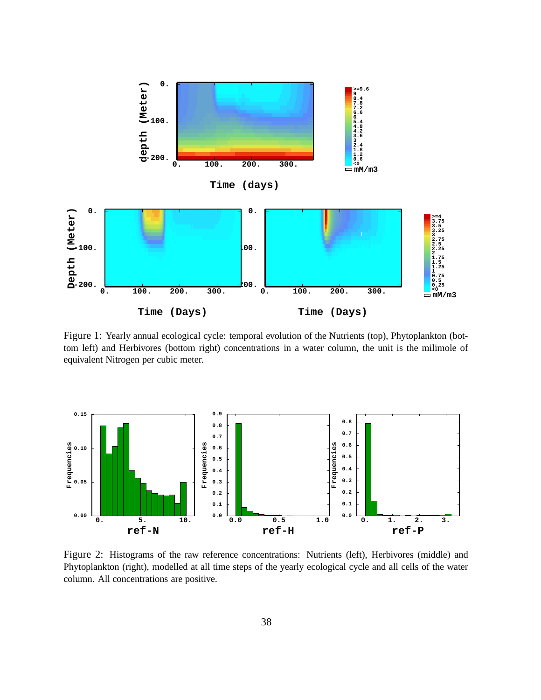

Figure 1: Yearly annual ecological cycle: temporal evolution of the Nutrients (top), Phytoplankton (bottom left) and Herbivores (bottom right) concentrations in a water column, the unit is the milimole of equivalent Nitrogen per cubic meter.



Figure 2: Histograms of the raw reference concentrations: Nutrients (left), Herbivores (middle) and Phytoplankton (right), modelled at all time steps of the yearly ecological cycle and all cells of the water column. All concentrations are positive.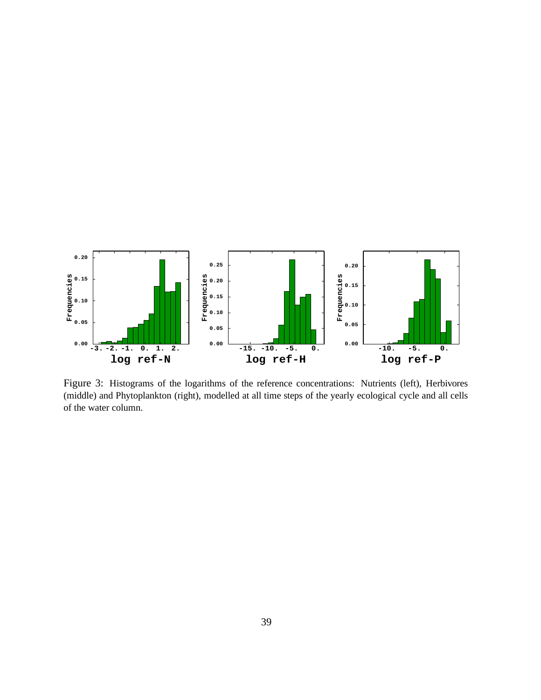

Figure 3: Histograms of the logarithms of the reference concentrations: Nutrients (left), Herbivores (middle) and Phytoplankton (right), modelled at all time steps of the yearly ecological cycle and all cells of the water column.